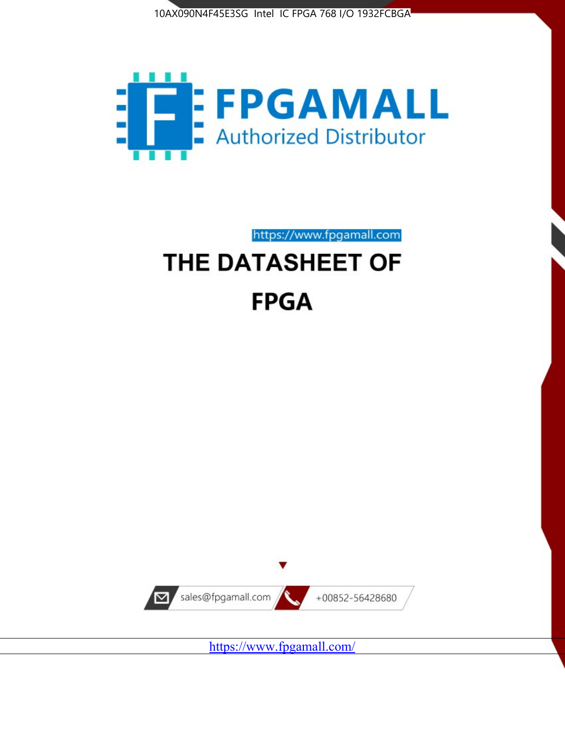



https://www.fpgamall.com

# THE DATASHEET OF **FPGA**



<https://www.fpgamall.com/>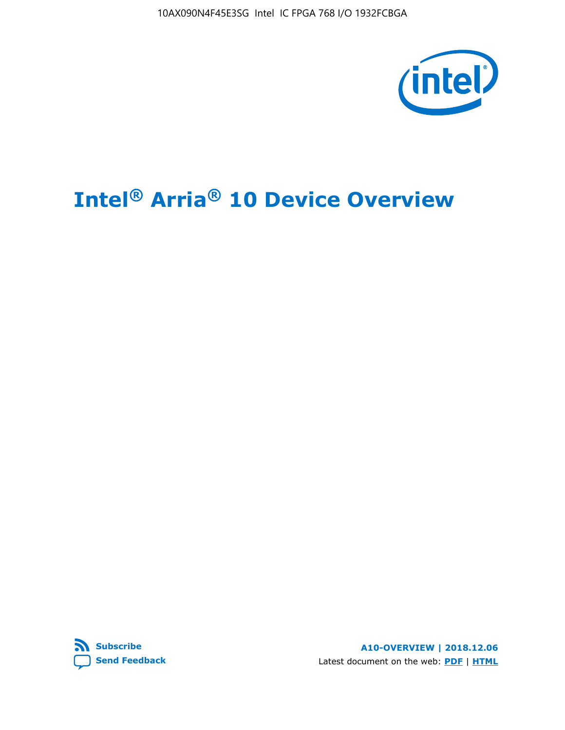10AX090N4F45E3SG Intel IC FPGA 768 I/O 1932FCBGA



# **Intel® Arria® 10 Device Overview**



**A10-OVERVIEW | 2018.12.06** Latest document on the web: **[PDF](https://www.intel.com/content/dam/www/programmable/us/en/pdfs/literature/hb/arria-10/a10_overview.pdf)** | **[HTML](https://www.intel.com/content/www/us/en/programmable/documentation/sam1403480274650.html)**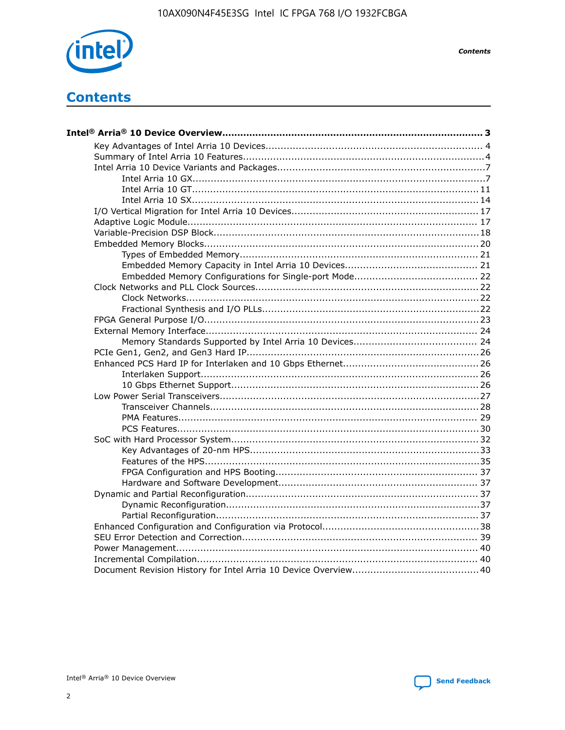

**Contents** 

# **Contents**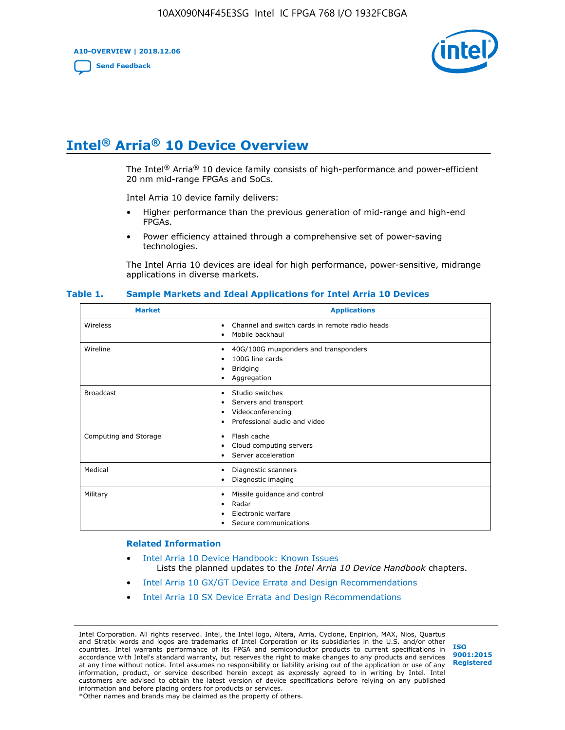**A10-OVERVIEW | 2018.12.06**

**[Send Feedback](mailto:FPGAtechdocfeedback@intel.com?subject=Feedback%20on%20Intel%20Arria%2010%20Device%20Overview%20(A10-OVERVIEW%202018.12.06)&body=We%20appreciate%20your%20feedback.%20In%20your%20comments,%20also%20specify%20the%20page%20number%20or%20paragraph.%20Thank%20you.)**



# **Intel® Arria® 10 Device Overview**

The Intel<sup>®</sup> Arria<sup>®</sup> 10 device family consists of high-performance and power-efficient 20 nm mid-range FPGAs and SoCs.

Intel Arria 10 device family delivers:

- Higher performance than the previous generation of mid-range and high-end FPGAs.
- Power efficiency attained through a comprehensive set of power-saving technologies.

The Intel Arria 10 devices are ideal for high performance, power-sensitive, midrange applications in diverse markets.

| <b>Market</b>         | <b>Applications</b>                                                                                               |
|-----------------------|-------------------------------------------------------------------------------------------------------------------|
| Wireless              | Channel and switch cards in remote radio heads<br>٠<br>Mobile backhaul<br>٠                                       |
| Wireline              | 40G/100G muxponders and transponders<br>٠<br>100G line cards<br>٠<br><b>Bridging</b><br>٠<br>Aggregation<br>٠     |
| <b>Broadcast</b>      | Studio switches<br>٠<br>Servers and transport<br>٠<br>Videoconferencing<br>٠<br>Professional audio and video<br>٠ |
| Computing and Storage | Flash cache<br>٠<br>Cloud computing servers<br>٠<br>Server acceleration<br>٠                                      |
| Medical               | Diagnostic scanners<br>٠<br>Diagnostic imaging<br>٠                                                               |
| Military              | Missile guidance and control<br>٠<br>Radar<br>٠<br>Electronic warfare<br>٠<br>Secure communications<br>٠          |

#### **Table 1. Sample Markets and Ideal Applications for Intel Arria 10 Devices**

#### **Related Information**

- [Intel Arria 10 Device Handbook: Known Issues](http://www.altera.com/support/kdb/solutions/rd07302013_646.html) Lists the planned updates to the *Intel Arria 10 Device Handbook* chapters.
- [Intel Arria 10 GX/GT Device Errata and Design Recommendations](https://www.intel.com/content/www/us/en/programmable/documentation/agz1493851706374.html#yqz1494433888646)
- [Intel Arria 10 SX Device Errata and Design Recommendations](https://www.intel.com/content/www/us/en/programmable/documentation/cru1462832385668.html#cru1462832558642)

Intel Corporation. All rights reserved. Intel, the Intel logo, Altera, Arria, Cyclone, Enpirion, MAX, Nios, Quartus and Stratix words and logos are trademarks of Intel Corporation or its subsidiaries in the U.S. and/or other countries. Intel warrants performance of its FPGA and semiconductor products to current specifications in accordance with Intel's standard warranty, but reserves the right to make changes to any products and services at any time without notice. Intel assumes no responsibility or liability arising out of the application or use of any information, product, or service described herein except as expressly agreed to in writing by Intel. Intel customers are advised to obtain the latest version of device specifications before relying on any published information and before placing orders for products or services. \*Other names and brands may be claimed as the property of others.

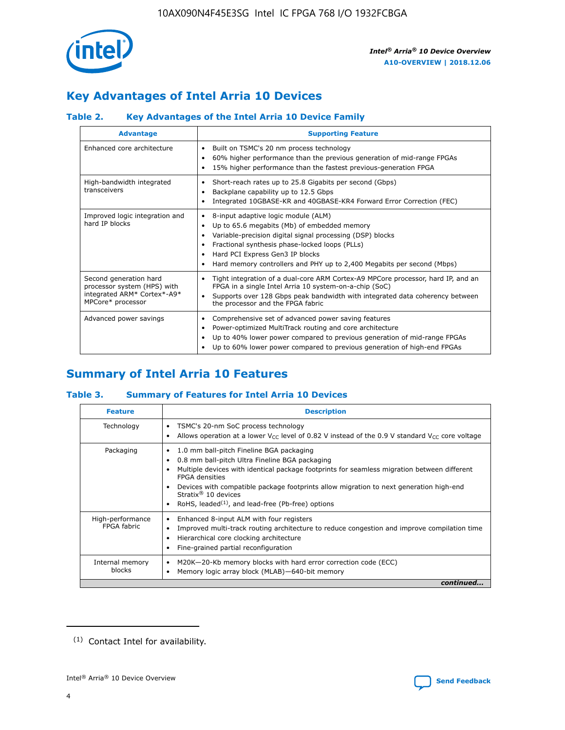

# **Key Advantages of Intel Arria 10 Devices**

# **Table 2. Key Advantages of the Intel Arria 10 Device Family**

| <b>Advantage</b>                                                                                          | <b>Supporting Feature</b>                                                                                                                                                                                                                                                                                                |  |  |  |  |  |
|-----------------------------------------------------------------------------------------------------------|--------------------------------------------------------------------------------------------------------------------------------------------------------------------------------------------------------------------------------------------------------------------------------------------------------------------------|--|--|--|--|--|
| Enhanced core architecture                                                                                | Built on TSMC's 20 nm process technology<br>٠<br>60% higher performance than the previous generation of mid-range FPGAs<br>٠<br>15% higher performance than the fastest previous-generation FPGA<br>٠                                                                                                                    |  |  |  |  |  |
| High-bandwidth integrated<br>transceivers                                                                 | Short-reach rates up to 25.8 Gigabits per second (Gbps)<br>٠<br>Backplane capability up to 12.5 Gbps<br>٠<br>Integrated 10GBASE-KR and 40GBASE-KR4 Forward Error Correction (FEC)<br>٠                                                                                                                                   |  |  |  |  |  |
| Improved logic integration and<br>hard IP blocks                                                          | 8-input adaptive logic module (ALM)<br>٠<br>Up to 65.6 megabits (Mb) of embedded memory<br>٠<br>Variable-precision digital signal processing (DSP) blocks<br>Fractional synthesis phase-locked loops (PLLs)<br>Hard PCI Express Gen3 IP blocks<br>Hard memory controllers and PHY up to 2,400 Megabits per second (Mbps) |  |  |  |  |  |
| Second generation hard<br>processor system (HPS) with<br>integrated ARM* Cortex*-A9*<br>MPCore* processor | Tight integration of a dual-core ARM Cortex-A9 MPCore processor, hard IP, and an<br>٠<br>FPGA in a single Intel Arria 10 system-on-a-chip (SoC)<br>Supports over 128 Gbps peak bandwidth with integrated data coherency between<br>$\bullet$<br>the processor and the FPGA fabric                                        |  |  |  |  |  |
| Advanced power savings                                                                                    | Comprehensive set of advanced power saving features<br>٠<br>Power-optimized MultiTrack routing and core architecture<br>٠<br>Up to 40% lower power compared to previous generation of mid-range FPGAs<br>٠<br>Up to 60% lower power compared to previous generation of high-end FPGAs                                    |  |  |  |  |  |

# **Summary of Intel Arria 10 Features**

## **Table 3. Summary of Features for Intel Arria 10 Devices**

| <b>Feature</b>                  | <b>Description</b>                                                                                                                                                                                                                                                                                                                                                                                       |
|---------------------------------|----------------------------------------------------------------------------------------------------------------------------------------------------------------------------------------------------------------------------------------------------------------------------------------------------------------------------------------------------------------------------------------------------------|
| Technology                      | TSMC's 20-nm SoC process technology<br>٠<br>Allows operation at a lower $V_{\text{CC}}$ level of 0.82 V instead of the 0.9 V standard $V_{\text{CC}}$ core voltage                                                                                                                                                                                                                                       |
| Packaging                       | 1.0 mm ball-pitch Fineline BGA packaging<br>0.8 mm ball-pitch Ultra Fineline BGA packaging<br>Multiple devices with identical package footprints for seamless migration between different<br><b>FPGA</b> densities<br>Devices with compatible package footprints allow migration to next generation high-end<br>Stratix $\mathcal{R}$ 10 devices<br>RoHS, leaded $(1)$ , and lead-free (Pb-free) options |
| High-performance<br>FPGA fabric | Enhanced 8-input ALM with four registers<br>٠<br>Improved multi-track routing architecture to reduce congestion and improve compilation time<br>Hierarchical core clocking architecture<br>Fine-grained partial reconfiguration                                                                                                                                                                          |
| Internal memory<br>blocks       | M20K-20-Kb memory blocks with hard error correction code (ECC)<br>Memory logic array block (MLAB)-640-bit memory                                                                                                                                                                                                                                                                                         |
|                                 | continued                                                                                                                                                                                                                                                                                                                                                                                                |



<sup>(1)</sup> Contact Intel for availability.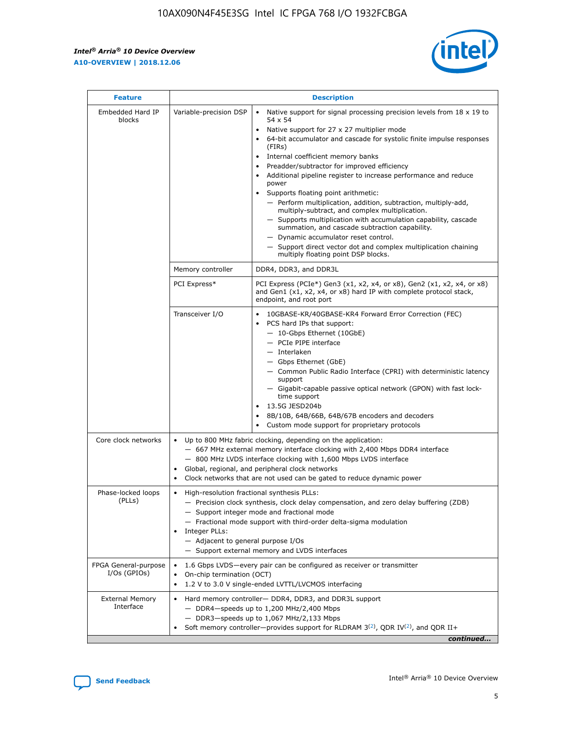$\mathsf{r}$ 



| <b>Feature</b>                         |                                                                                                                | <b>Description</b>                                                                                                                                                                                                                                                                                                                                                                                                                                                                                                                                                                                                                                                                                                                                                                                                                          |
|----------------------------------------|----------------------------------------------------------------------------------------------------------------|---------------------------------------------------------------------------------------------------------------------------------------------------------------------------------------------------------------------------------------------------------------------------------------------------------------------------------------------------------------------------------------------------------------------------------------------------------------------------------------------------------------------------------------------------------------------------------------------------------------------------------------------------------------------------------------------------------------------------------------------------------------------------------------------------------------------------------------------|
| Embedded Hard IP<br>blocks             | Variable-precision DSP                                                                                         | Native support for signal processing precision levels from $18 \times 19$ to<br>$\bullet$<br>54 x 54<br>Native support for 27 x 27 multiplier mode<br>64-bit accumulator and cascade for systolic finite impulse responses<br>(FIRs)<br>Internal coefficient memory banks<br>٠<br>Preadder/subtractor for improved efficiency<br>Additional pipeline register to increase performance and reduce<br>power<br>Supports floating point arithmetic:<br>- Perform multiplication, addition, subtraction, multiply-add,<br>multiply-subtract, and complex multiplication.<br>- Supports multiplication with accumulation capability, cascade<br>summation, and cascade subtraction capability.<br>- Dynamic accumulator reset control.<br>- Support direct vector dot and complex multiplication chaining<br>multiply floating point DSP blocks. |
|                                        | Memory controller                                                                                              | DDR4, DDR3, and DDR3L                                                                                                                                                                                                                                                                                                                                                                                                                                                                                                                                                                                                                                                                                                                                                                                                                       |
|                                        | PCI Express*                                                                                                   | PCI Express (PCIe*) Gen3 (x1, x2, x4, or x8), Gen2 (x1, x2, x4, or x8)<br>and Gen1 (x1, x2, x4, or x8) hard IP with complete protocol stack,<br>endpoint, and root port                                                                                                                                                                                                                                                                                                                                                                                                                                                                                                                                                                                                                                                                     |
|                                        | Transceiver I/O                                                                                                | 10GBASE-KR/40GBASE-KR4 Forward Error Correction (FEC)<br>PCS hard IPs that support:<br>- 10-Gbps Ethernet (10GbE)<br>- PCIe PIPE interface<br>- Interlaken<br>- Gbps Ethernet (GbE)<br>- Common Public Radio Interface (CPRI) with deterministic latency<br>support<br>- Gigabit-capable passive optical network (GPON) with fast lock-<br>time support<br>13.5G JESD204b<br>$\bullet$<br>8B/10B, 64B/66B, 64B/67B encoders and decoders<br>Custom mode support for proprietary protocols                                                                                                                                                                                                                                                                                                                                                   |
| Core clock networks                    | $\bullet$<br>$\bullet$                                                                                         | Up to 800 MHz fabric clocking, depending on the application:<br>- 667 MHz external memory interface clocking with 2,400 Mbps DDR4 interface<br>- 800 MHz LVDS interface clocking with 1,600 Mbps LVDS interface<br>Global, regional, and peripheral clock networks<br>Clock networks that are not used can be gated to reduce dynamic power                                                                                                                                                                                                                                                                                                                                                                                                                                                                                                 |
| Phase-locked loops<br>(PLLs)           | High-resolution fractional synthesis PLLs:<br>$\bullet$<br>Integer PLLs:<br>- Adjacent to general purpose I/Os | - Precision clock synthesis, clock delay compensation, and zero delay buffering (ZDB)<br>- Support integer mode and fractional mode<br>- Fractional mode support with third-order delta-sigma modulation<br>- Support external memory and LVDS interfaces                                                                                                                                                                                                                                                                                                                                                                                                                                                                                                                                                                                   |
| FPGA General-purpose<br>$I/Os$ (GPIOs) | On-chip termination (OCT)<br>$\bullet$                                                                         | 1.6 Gbps LVDS-every pair can be configured as receiver or transmitter<br>1.2 V to 3.0 V single-ended LVTTL/LVCMOS interfacing                                                                                                                                                                                                                                                                                                                                                                                                                                                                                                                                                                                                                                                                                                               |
| <b>External Memory</b><br>Interface    |                                                                                                                | Hard memory controller- DDR4, DDR3, and DDR3L support<br>$-$ DDR4 $-$ speeds up to 1,200 MHz/2,400 Mbps<br>- DDR3-speeds up to 1,067 MHz/2,133 Mbps<br>Soft memory controller—provides support for RLDRAM $3^{(2)}$ , QDR IV $(2^2)$ , and QDR II+<br>continued                                                                                                                                                                                                                                                                                                                                                                                                                                                                                                                                                                             |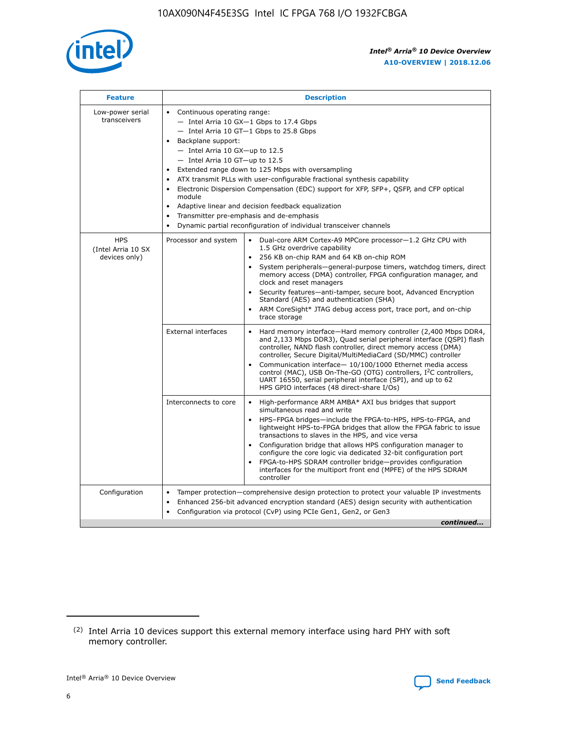

| <b>Feature</b>                                    | <b>Description</b>                                                                                                                                                                                                                                                                                                                                                                                                                                                                                                                                                                                                                         |
|---------------------------------------------------|--------------------------------------------------------------------------------------------------------------------------------------------------------------------------------------------------------------------------------------------------------------------------------------------------------------------------------------------------------------------------------------------------------------------------------------------------------------------------------------------------------------------------------------------------------------------------------------------------------------------------------------------|
| Low-power serial<br>transceivers                  | • Continuous operating range:<br>- Intel Arria 10 GX-1 Gbps to 17.4 Gbps<br>- Intel Arria 10 GT-1 Gbps to 25.8 Gbps<br>Backplane support:<br>$-$ Intel Arria 10 GX-up to 12.5<br>- Intel Arria 10 GT-up to 12.5<br>Extended range down to 125 Mbps with oversampling<br>ATX transmit PLLs with user-configurable fractional synthesis capability<br>Electronic Dispersion Compensation (EDC) support for XFP, SFP+, QSFP, and CFP optical<br>module<br>• Adaptive linear and decision feedback equalization<br>Transmitter pre-emphasis and de-emphasis<br>$\bullet$<br>Dynamic partial reconfiguration of individual transceiver channels |
| <b>HPS</b><br>(Intel Arria 10 SX<br>devices only) | Dual-core ARM Cortex-A9 MPCore processor-1.2 GHz CPU with<br>Processor and system<br>$\bullet$<br>1.5 GHz overdrive capability<br>256 KB on-chip RAM and 64 KB on-chip ROM<br>System peripherals-general-purpose timers, watchdog timers, direct<br>memory access (DMA) controller, FPGA configuration manager, and<br>clock and reset managers<br>Security features-anti-tamper, secure boot, Advanced Encryption<br>$\bullet$<br>Standard (AES) and authentication (SHA)<br>ARM CoreSight* JTAG debug access port, trace port, and on-chip<br>trace storage                                                                              |
|                                                   | <b>External interfaces</b><br>Hard memory interface-Hard memory controller (2,400 Mbps DDR4,<br>$\bullet$<br>and 2,133 Mbps DDR3), Quad serial peripheral interface (QSPI) flash<br>controller, NAND flash controller, direct memory access (DMA)<br>controller, Secure Digital/MultiMediaCard (SD/MMC) controller<br>Communication interface-10/100/1000 Ethernet media access<br>$\bullet$<br>control (MAC), USB On-The-GO (OTG) controllers, I <sup>2</sup> C controllers,<br>UART 16550, serial peripheral interface (SPI), and up to 62<br>HPS GPIO interfaces (48 direct-share I/Os)                                                 |
|                                                   | High-performance ARM AMBA* AXI bus bridges that support<br>Interconnects to core<br>$\bullet$<br>simultaneous read and write<br>HPS-FPGA bridges-include the FPGA-to-HPS, HPS-to-FPGA, and<br>$\bullet$<br>lightweight HPS-to-FPGA bridges that allow the FPGA fabric to issue<br>transactions to slaves in the HPS, and vice versa<br>Configuration bridge that allows HPS configuration manager to<br>configure the core logic via dedicated 32-bit configuration port<br>FPGA-to-HPS SDRAM controller bridge-provides configuration<br>interfaces for the multiport front end (MPFE) of the HPS SDRAM<br>controller                     |
| Configuration                                     | Tamper protection—comprehensive design protection to protect your valuable IP investments<br>Enhanced 256-bit advanced encryption standard (AES) design security with authentication<br>٠<br>Configuration via protocol (CvP) using PCIe Gen1, Gen2, or Gen3<br>continued                                                                                                                                                                                                                                                                                                                                                                  |

<sup>(2)</sup> Intel Arria 10 devices support this external memory interface using hard PHY with soft memory controller.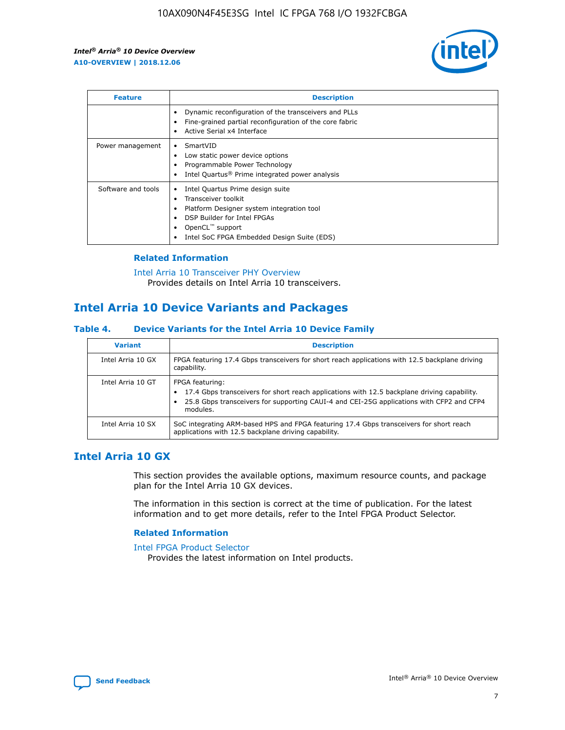

| <b>Feature</b>     | <b>Description</b>                                                                                                                                                                                                            |
|--------------------|-------------------------------------------------------------------------------------------------------------------------------------------------------------------------------------------------------------------------------|
|                    | Dynamic reconfiguration of the transceivers and PLLs<br>Fine-grained partial reconfiguration of the core fabric<br>Active Serial x4 Interface<br>$\bullet$                                                                    |
| Power management   | SmartVID<br>Low static power device options<br>Programmable Power Technology<br>Intel Quartus <sup>®</sup> Prime integrated power analysis                                                                                    |
| Software and tools | Intel Quartus Prime design suite<br>Transceiver toolkit<br>$\bullet$<br>Platform Designer system integration tool<br>DSP Builder for Intel FPGAs<br>OpenCL <sup>™</sup> support<br>Intel SoC FPGA Embedded Design Suite (EDS) |

# **Related Information**

#### [Intel Arria 10 Transceiver PHY Overview](https://www.intel.com/content/www/us/en/programmable/documentation/nik1398707230472.html#nik1398706768037) Provides details on Intel Arria 10 transceivers.

# **Intel Arria 10 Device Variants and Packages**

### **Table 4. Device Variants for the Intel Arria 10 Device Family**

| <b>Variant</b>    | <b>Description</b>                                                                                                                                                                                                     |
|-------------------|------------------------------------------------------------------------------------------------------------------------------------------------------------------------------------------------------------------------|
| Intel Arria 10 GX | FPGA featuring 17.4 Gbps transceivers for short reach applications with 12.5 backplane driving<br>capability.                                                                                                          |
| Intel Arria 10 GT | FPGA featuring:<br>17.4 Gbps transceivers for short reach applications with 12.5 backplane driving capability.<br>25.8 Gbps transceivers for supporting CAUI-4 and CEI-25G applications with CFP2 and CFP4<br>modules. |
| Intel Arria 10 SX | SoC integrating ARM-based HPS and FPGA featuring 17.4 Gbps transceivers for short reach<br>applications with 12.5 backplane driving capability.                                                                        |

# **Intel Arria 10 GX**

This section provides the available options, maximum resource counts, and package plan for the Intel Arria 10 GX devices.

The information in this section is correct at the time of publication. For the latest information and to get more details, refer to the Intel FPGA Product Selector.

## **Related Information**

#### [Intel FPGA Product Selector](http://www.altera.com/products/selector/psg-selector.html) Provides the latest information on Intel products.

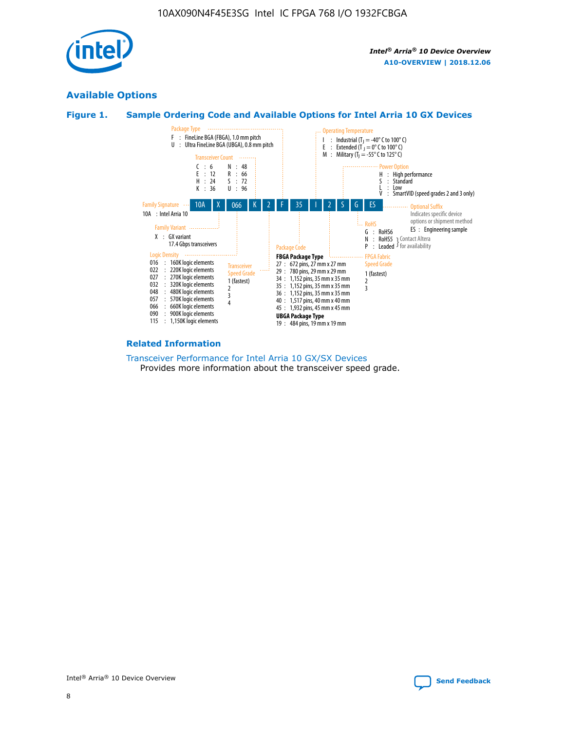

# **Available Options**





#### **Related Information**

[Transceiver Performance for Intel Arria 10 GX/SX Devices](https://www.intel.com/content/www/us/en/programmable/documentation/mcn1413182292568.html#mcn1413213965502) Provides more information about the transceiver speed grade.

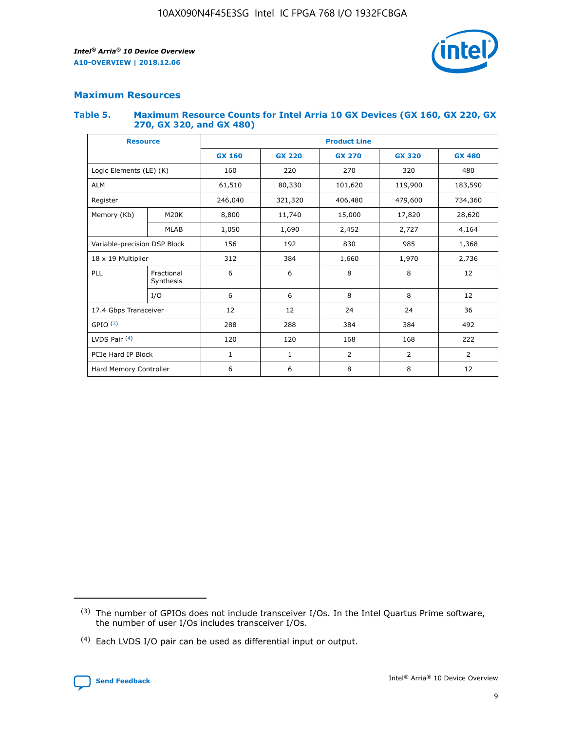

# **Maximum Resources**

#### **Table 5. Maximum Resource Counts for Intel Arria 10 GX Devices (GX 160, GX 220, GX 270, GX 320, and GX 480)**

| <b>Resource</b>              |                         | <b>Product Line</b> |                   |                    |                |                |  |  |  |
|------------------------------|-------------------------|---------------------|-------------------|--------------------|----------------|----------------|--|--|--|
|                              |                         | <b>GX 160</b>       | <b>GX 220</b>     | <b>GX 270</b>      | <b>GX 320</b>  | <b>GX 480</b>  |  |  |  |
| Logic Elements (LE) (K)      |                         | 160                 | 220               | 270                | 320            | 480            |  |  |  |
| <b>ALM</b>                   |                         | 61,510              | 80,330            | 101,620            | 119,900        | 183,590        |  |  |  |
| Register                     |                         | 246,040             | 321,320           | 406,480<br>479,600 |                | 734,360        |  |  |  |
| Memory (Kb)                  | M <sub>20</sub> K       | 8,800               | 11,740<br>15,000  |                    | 17,820         | 28,620         |  |  |  |
| <b>MLAB</b>                  |                         | 1,050               | 1,690<br>2,452    |                    | 2,727          | 4,164          |  |  |  |
| Variable-precision DSP Block |                         | 156                 | 192<br>830<br>985 |                    |                | 1,368          |  |  |  |
| 18 x 19 Multiplier           |                         | 312                 | 384               | 1,970<br>1,660     |                | 2,736          |  |  |  |
| PLL                          | Fractional<br>Synthesis | 6                   | 6                 | 8                  | 8              | 12             |  |  |  |
|                              | I/O                     | 6                   | 6                 | 8                  | 8              | 12             |  |  |  |
| 17.4 Gbps Transceiver        |                         | 12                  | 12                | 24                 | 24             | 36             |  |  |  |
| GPIO <sup>(3)</sup>          |                         | 288                 | 288               | 384<br>384         |                | 492            |  |  |  |
| LVDS Pair $(4)$              |                         | 120                 | 120               | 168                | 168            | 222            |  |  |  |
| PCIe Hard IP Block           |                         | 1                   | 1                 | 2                  | $\overline{2}$ | $\overline{2}$ |  |  |  |
| Hard Memory Controller       |                         | 6                   | 6                 | 8                  | 8              | 12             |  |  |  |

<sup>(4)</sup> Each LVDS I/O pair can be used as differential input or output.



<sup>(3)</sup> The number of GPIOs does not include transceiver I/Os. In the Intel Quartus Prime software, the number of user I/Os includes transceiver I/Os.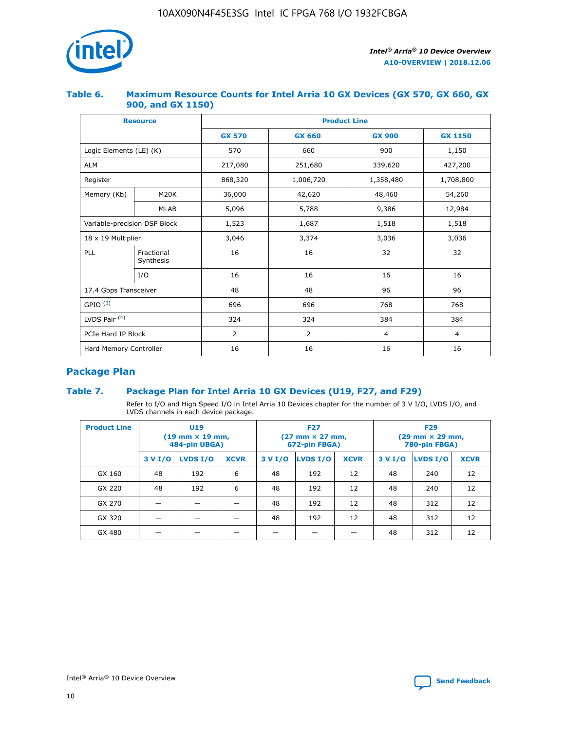

## **Table 6. Maximum Resource Counts for Intel Arria 10 GX Devices (GX 570, GX 660, GX 900, and GX 1150)**

|                              | <b>Resource</b>         | <b>Product Line</b> |               |                |                |  |  |  |  |
|------------------------------|-------------------------|---------------------|---------------|----------------|----------------|--|--|--|--|
|                              |                         | <b>GX 570</b>       | <b>GX 660</b> | <b>GX 900</b>  | <b>GX 1150</b> |  |  |  |  |
| Logic Elements (LE) (K)      |                         | 570                 | 660           | 900            | 1,150          |  |  |  |  |
| <b>ALM</b>                   |                         | 217,080             | 251,680       | 339,620        | 427,200        |  |  |  |  |
| Register                     |                         | 868,320             | 1,006,720     | 1,358,480      | 1,708,800      |  |  |  |  |
| Memory (Kb)                  | <b>M20K</b>             | 36,000              | 42,620        | 48,460         | 54,260         |  |  |  |  |
|                              | <b>MLAB</b>             | 5,096               | 5,788         | 9,386          | 12,984         |  |  |  |  |
| Variable-precision DSP Block |                         | 1,523               | 1,687         | 1,518          | 1,518          |  |  |  |  |
| $18 \times 19$ Multiplier    |                         | 3,046               | 3,374         | 3,036          | 3,036          |  |  |  |  |
| PLL                          | Fractional<br>Synthesis | 16                  | 16            | 32             | 32             |  |  |  |  |
|                              | I/O                     | 16                  | 16            | 16             | 16             |  |  |  |  |
| 17.4 Gbps Transceiver        |                         | 48                  | 48            | 96             | 96             |  |  |  |  |
| GPIO <sup>(3)</sup>          |                         | 696                 | 696           | 768            | 768            |  |  |  |  |
| LVDS Pair $(4)$              |                         | 324                 | 324           | 384            | 384            |  |  |  |  |
| PCIe Hard IP Block           |                         | 2                   | 2             | $\overline{4}$ | $\overline{4}$ |  |  |  |  |
| Hard Memory Controller       |                         | 16                  | 16            | 16             | 16             |  |  |  |  |

# **Package Plan**

# **Table 7. Package Plan for Intel Arria 10 GX Devices (U19, F27, and F29)**

Refer to I/O and High Speed I/O in Intel Arria 10 Devices chapter for the number of 3 V I/O, LVDS I/O, and LVDS channels in each device package.

| <b>Product Line</b> | U <sub>19</sub><br>$(19 \text{ mm} \times 19 \text{ mm})$<br>484-pin UBGA) |          |             |         | <b>F27</b><br>(27 mm × 27 mm,<br>672-pin FBGA) |             | <b>F29</b><br>(29 mm × 29 mm,<br>780-pin FBGA) |          |             |  |
|---------------------|----------------------------------------------------------------------------|----------|-------------|---------|------------------------------------------------|-------------|------------------------------------------------|----------|-------------|--|
|                     | 3 V I/O                                                                    | LVDS I/O | <b>XCVR</b> | 3 V I/O | <b>LVDS I/O</b>                                | <b>XCVR</b> | 3 V I/O                                        | LVDS I/O | <b>XCVR</b> |  |
| GX 160              | 48                                                                         | 192      | 6           | 48      | 192                                            | 12          | 48                                             | 240      | 12          |  |
| GX 220              | 48                                                                         | 192      | 6           | 48      | 192                                            | 12          | 48                                             | 240      | 12          |  |
| GX 270              |                                                                            |          |             | 48      | 192                                            | 12          | 48                                             | 312      | 12          |  |
| GX 320              |                                                                            |          |             | 48      | 192                                            | 12          | 48                                             | 312      | 12          |  |
| GX 480              |                                                                            |          |             |         |                                                |             | 48                                             | 312      | 12          |  |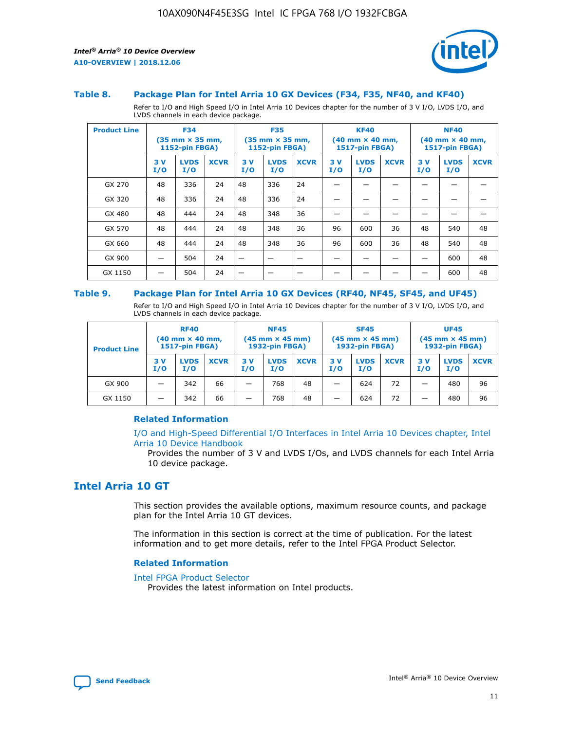

#### **Table 8. Package Plan for Intel Arria 10 GX Devices (F34, F35, NF40, and KF40)**

Refer to I/O and High Speed I/O in Intel Arria 10 Devices chapter for the number of 3 V I/O, LVDS I/O, and LVDS channels in each device package.

| <b>Product Line</b> | <b>F34</b><br>$(35 \text{ mm} \times 35 \text{ mm})$<br>1152-pin FBGA) |                    | <b>F35</b><br>$(35 \text{ mm} \times 35 \text{ mm})$<br><b>1152-pin FBGA)</b> |           | <b>KF40</b><br>$(40$ mm $\times$ 40 mm,<br>1517-pin FBGA) |             |           | <b>NF40</b><br>$(40$ mm $\times$ 40 mm,<br><b>1517-pin FBGA)</b> |             |            |                    |             |
|---------------------|------------------------------------------------------------------------|--------------------|-------------------------------------------------------------------------------|-----------|-----------------------------------------------------------|-------------|-----------|------------------------------------------------------------------|-------------|------------|--------------------|-------------|
|                     | 3V<br>I/O                                                              | <b>LVDS</b><br>I/O | <b>XCVR</b>                                                                   | 3V<br>I/O | <b>LVDS</b><br>I/O                                        | <b>XCVR</b> | 3V<br>I/O | <b>LVDS</b><br>I/O                                               | <b>XCVR</b> | 3 V<br>I/O | <b>LVDS</b><br>I/O | <b>XCVR</b> |
| GX 270              | 48                                                                     | 336                | 24                                                                            | 48        | 336                                                       | 24          |           |                                                                  |             |            |                    |             |
| GX 320              | 48                                                                     | 336                | 24                                                                            | 48        | 336                                                       | 24          |           |                                                                  |             |            |                    |             |
| GX 480              | 48                                                                     | 444                | 24                                                                            | 48        | 348                                                       | 36          |           |                                                                  |             |            |                    |             |
| GX 570              | 48                                                                     | 444                | 24                                                                            | 48        | 348                                                       | 36          | 96        | 600                                                              | 36          | 48         | 540                | 48          |
| GX 660              | 48                                                                     | 444                | 24                                                                            | 48        | 348                                                       | 36          | 96        | 600                                                              | 36          | 48         | 540                | 48          |
| GX 900              |                                                                        | 504                | 24                                                                            | -         |                                                           |             |           |                                                                  |             |            | 600                | 48          |
| GX 1150             |                                                                        | 504                | 24                                                                            |           |                                                           |             |           |                                                                  |             |            | 600                | 48          |

#### **Table 9. Package Plan for Intel Arria 10 GX Devices (RF40, NF45, SF45, and UF45)**

Refer to I/O and High Speed I/O in Intel Arria 10 Devices chapter for the number of 3 V I/O, LVDS I/O, and LVDS channels in each device package.

| <b>Product Line</b> | <b>RF40</b><br>$(40$ mm $\times$ 40 mm,<br>1517-pin FBGA) |                    | <b>NF45</b><br>$(45 \text{ mm} \times 45 \text{ mm})$<br><b>1932-pin FBGA)</b> |            |                    | <b>SF45</b><br>$(45 \text{ mm} \times 45 \text{ mm})$<br><b>1932-pin FBGA)</b> |            |                    | <b>UF45</b><br>$(45 \text{ mm} \times 45 \text{ mm})$<br><b>1932-pin FBGA)</b> |           |                    |             |
|---------------------|-----------------------------------------------------------|--------------------|--------------------------------------------------------------------------------|------------|--------------------|--------------------------------------------------------------------------------|------------|--------------------|--------------------------------------------------------------------------------|-----------|--------------------|-------------|
|                     | 3V<br>I/O                                                 | <b>LVDS</b><br>I/O | <b>XCVR</b>                                                                    | 3 V<br>I/O | <b>LVDS</b><br>I/O | <b>XCVR</b>                                                                    | 3 V<br>I/O | <b>LVDS</b><br>I/O | <b>XCVR</b>                                                                    | 3V<br>I/O | <b>LVDS</b><br>I/O | <b>XCVR</b> |
| GX 900              |                                                           | 342                | 66                                                                             | _          | 768                | 48                                                                             |            | 624                | 72                                                                             |           | 480                | 96          |
| GX 1150             |                                                           | 342                | 66                                                                             | _          | 768                | 48                                                                             |            | 624                | 72                                                                             |           | 480                | 96          |

## **Related Information**

[I/O and High-Speed Differential I/O Interfaces in Intel Arria 10 Devices chapter, Intel](https://www.intel.com/content/www/us/en/programmable/documentation/sam1403482614086.html#sam1403482030321) [Arria 10 Device Handbook](https://www.intel.com/content/www/us/en/programmable/documentation/sam1403482614086.html#sam1403482030321)

Provides the number of 3 V and LVDS I/Os, and LVDS channels for each Intel Arria 10 device package.

# **Intel Arria 10 GT**

This section provides the available options, maximum resource counts, and package plan for the Intel Arria 10 GT devices.

The information in this section is correct at the time of publication. For the latest information and to get more details, refer to the Intel FPGA Product Selector.

#### **Related Information**

#### [Intel FPGA Product Selector](http://www.altera.com/products/selector/psg-selector.html)

Provides the latest information on Intel products.

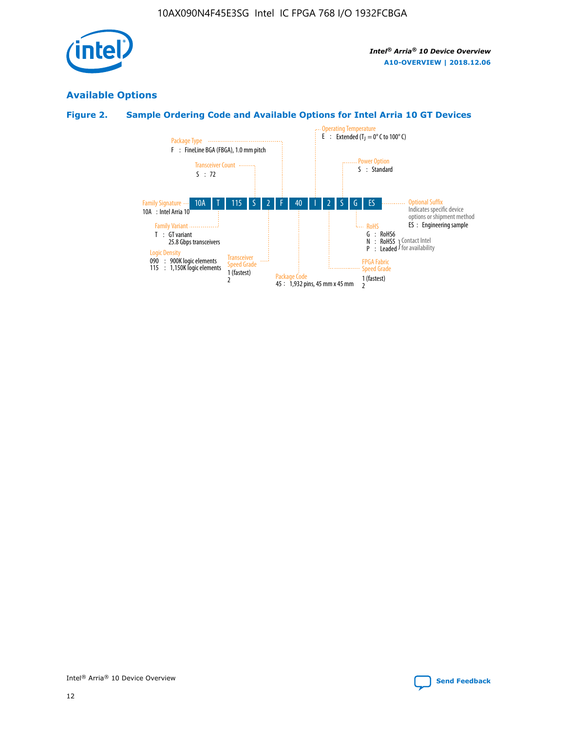

# **Available Options**

# **Figure 2. Sample Ordering Code and Available Options for Intel Arria 10 GT Devices**

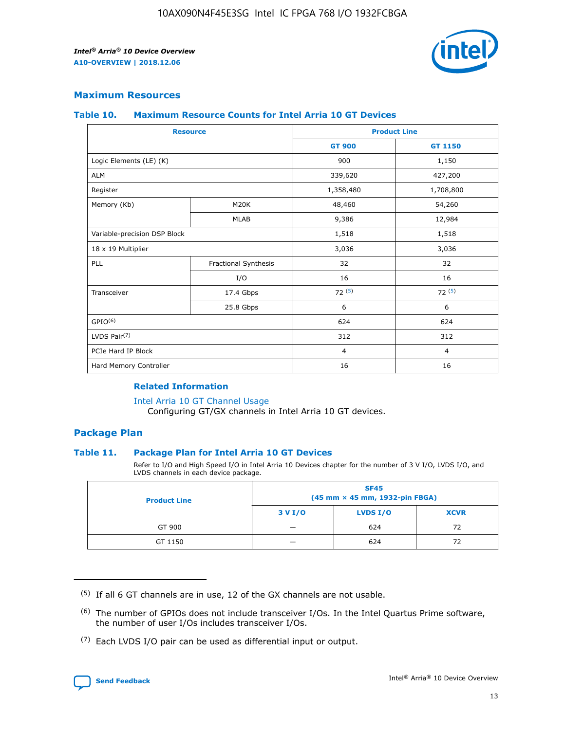

## **Maximum Resources**

#### **Table 10. Maximum Resource Counts for Intel Arria 10 GT Devices**

| <b>Resource</b>              |                      |                | <b>Product Line</b> |  |
|------------------------------|----------------------|----------------|---------------------|--|
|                              |                      | <b>GT 900</b>  | GT 1150             |  |
| Logic Elements (LE) (K)      |                      | 900            | 1,150               |  |
| <b>ALM</b>                   |                      | 339,620        | 427,200             |  |
| Register                     |                      | 1,358,480      | 1,708,800           |  |
| Memory (Kb)                  | M <sub>20</sub> K    | 48,460         | 54,260              |  |
|                              | <b>MLAB</b>          | 9,386          | 12,984              |  |
| Variable-precision DSP Block |                      | 1,518          | 1,518               |  |
| 18 x 19 Multiplier           |                      | 3,036          | 3,036               |  |
| PLL                          | Fractional Synthesis | 32             | 32                  |  |
|                              | I/O                  | 16             | 16                  |  |
| Transceiver                  | 17.4 Gbps            | 72(5)          | 72(5)               |  |
|                              | 25.8 Gbps            | 6              | 6                   |  |
| GPIO <sup>(6)</sup>          |                      | 624            | 624                 |  |
| LVDS Pair $(7)$              |                      | 312            | 312                 |  |
| PCIe Hard IP Block           |                      | $\overline{4}$ | $\overline{4}$      |  |
| Hard Memory Controller       |                      | 16             | 16                  |  |

#### **Related Information**

#### [Intel Arria 10 GT Channel Usage](https://www.intel.com/content/www/us/en/programmable/documentation/nik1398707230472.html#nik1398707008178)

Configuring GT/GX channels in Intel Arria 10 GT devices.

## **Package Plan**

### **Table 11. Package Plan for Intel Arria 10 GT Devices**

Refer to I/O and High Speed I/O in Intel Arria 10 Devices chapter for the number of 3 V I/O, LVDS I/O, and LVDS channels in each device package.

| <b>Product Line</b> | <b>SF45</b><br>(45 mm × 45 mm, 1932-pin FBGA) |                 |             |  |  |  |
|---------------------|-----------------------------------------------|-----------------|-------------|--|--|--|
|                     | 3 V I/O                                       | <b>LVDS I/O</b> | <b>XCVR</b> |  |  |  |
| GT 900              |                                               | 624             | 72          |  |  |  |
| GT 1150             |                                               | 624             | 72          |  |  |  |

<sup>(7)</sup> Each LVDS I/O pair can be used as differential input or output.



 $(5)$  If all 6 GT channels are in use, 12 of the GX channels are not usable.

<sup>(6)</sup> The number of GPIOs does not include transceiver I/Os. In the Intel Quartus Prime software, the number of user I/Os includes transceiver I/Os.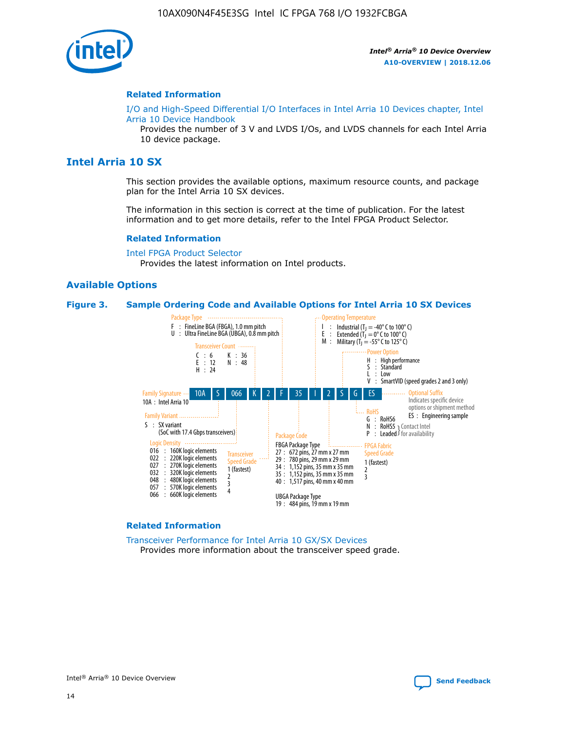

#### **Related Information**

[I/O and High-Speed Differential I/O Interfaces in Intel Arria 10 Devices chapter, Intel](https://www.intel.com/content/www/us/en/programmable/documentation/sam1403482614086.html#sam1403482030321) [Arria 10 Device Handbook](https://www.intel.com/content/www/us/en/programmable/documentation/sam1403482614086.html#sam1403482030321)

Provides the number of 3 V and LVDS I/Os, and LVDS channels for each Intel Arria 10 device package.

# **Intel Arria 10 SX**

This section provides the available options, maximum resource counts, and package plan for the Intel Arria 10 SX devices.

The information in this section is correct at the time of publication. For the latest information and to get more details, refer to the Intel FPGA Product Selector.

#### **Related Information**

[Intel FPGA Product Selector](http://www.altera.com/products/selector/psg-selector.html) Provides the latest information on Intel products.

#### **Available Options**

#### **Figure 3. Sample Ordering Code and Available Options for Intel Arria 10 SX Devices**



#### **Related Information**

[Transceiver Performance for Intel Arria 10 GX/SX Devices](https://www.intel.com/content/www/us/en/programmable/documentation/mcn1413182292568.html#mcn1413213965502) Provides more information about the transceiver speed grade.

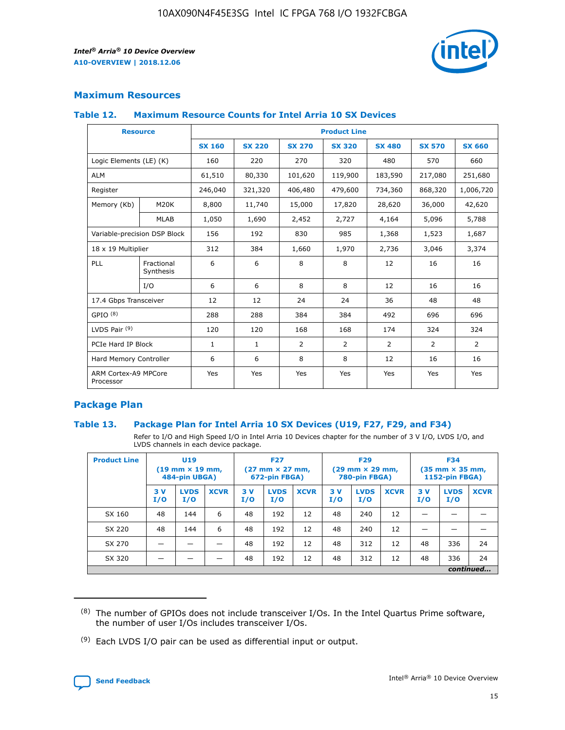

# **Maximum Resources**

### **Table 12. Maximum Resource Counts for Intel Arria 10 SX Devices**

| <b>Resource</b>                   |                         | <b>Product Line</b> |               |                |                |                |                |                |  |  |  |
|-----------------------------------|-------------------------|---------------------|---------------|----------------|----------------|----------------|----------------|----------------|--|--|--|
|                                   |                         | <b>SX 160</b>       | <b>SX 220</b> | <b>SX 270</b>  | <b>SX 320</b>  | <b>SX 480</b>  | <b>SX 570</b>  | <b>SX 660</b>  |  |  |  |
| Logic Elements (LE) (K)           |                         | 160                 | 220           | 270            | 320            | 480            | 570            | 660            |  |  |  |
| <b>ALM</b>                        |                         | 61,510              | 80,330        | 101,620        | 119,900        | 183,590        | 217,080        | 251,680        |  |  |  |
| Register                          |                         | 246,040             | 321,320       | 406,480        | 479,600        | 734,360        | 868,320        | 1,006,720      |  |  |  |
| Memory (Kb)                       | M <sub>20</sub> K       | 8,800               | 11,740        | 15,000         | 17,820         | 28,620         | 36,000         | 42,620         |  |  |  |
|                                   | <b>MLAB</b>             | 1,050               | 1,690         | 2,452          | 2,727          | 4,164          | 5,096          | 5,788          |  |  |  |
| Variable-precision DSP Block      |                         | 156                 | 192           | 830            | 985            | 1,368          | 1,523          | 1,687          |  |  |  |
| 18 x 19 Multiplier                |                         | 312                 | 384           | 1,660          | 1,970          | 2,736          | 3,046          | 3,374          |  |  |  |
| PLL                               | Fractional<br>Synthesis | 6                   | 6             | 8              | 8              | 12             | 16             | 16             |  |  |  |
|                                   | I/O                     | 6                   | 6             | 8              | 8              | 12             | 16             | 16             |  |  |  |
| 17.4 Gbps Transceiver             |                         | 12                  | 12            | 24             | 24             | 36             | 48             | 48             |  |  |  |
| GPIO <sup>(8)</sup>               |                         | 288                 | 288           | 384            | 384            | 492            | 696            | 696            |  |  |  |
| LVDS Pair $(9)$                   |                         | 120                 | 120           | 168            | 168            | 174            | 324            | 324            |  |  |  |
| PCIe Hard IP Block                |                         | $\mathbf{1}$        | $\mathbf{1}$  | $\overline{2}$ | $\overline{2}$ | $\overline{2}$ | $\overline{2}$ | $\overline{2}$ |  |  |  |
| Hard Memory Controller            |                         | 6                   | 6             | 8              | 8              | 12             | 16             | 16             |  |  |  |
| ARM Cortex-A9 MPCore<br>Processor |                         | Yes                 | Yes           | Yes            | Yes            | Yes            | Yes            | <b>Yes</b>     |  |  |  |

# **Package Plan**

### **Table 13. Package Plan for Intel Arria 10 SX Devices (U19, F27, F29, and F34)**

Refer to I/O and High Speed I/O in Intel Arria 10 Devices chapter for the number of 3 V I/O, LVDS I/O, and LVDS channels in each device package.

| <b>Product Line</b> | <b>U19</b><br>$(19 \text{ mm} \times 19 \text{ mm})$<br>484-pin UBGA) |                    |             | <b>F27</b><br>$(27 \text{ mm} \times 27 \text{ mm})$<br>672-pin FBGA) |                    | <b>F29</b><br>$(29 \text{ mm} \times 29 \text{ mm})$<br>780-pin FBGA) |           |                    | <b>F34</b><br>$(35 \text{ mm} \times 35 \text{ mm})$<br><b>1152-pin FBGA)</b> |           |                    |             |
|---------------------|-----------------------------------------------------------------------|--------------------|-------------|-----------------------------------------------------------------------|--------------------|-----------------------------------------------------------------------|-----------|--------------------|-------------------------------------------------------------------------------|-----------|--------------------|-------------|
|                     | 3V<br>I/O                                                             | <b>LVDS</b><br>I/O | <b>XCVR</b> | 3V<br>I/O                                                             | <b>LVDS</b><br>I/O | <b>XCVR</b>                                                           | 3V<br>I/O | <b>LVDS</b><br>I/O | <b>XCVR</b>                                                                   | 3V<br>I/O | <b>LVDS</b><br>I/O | <b>XCVR</b> |
| SX 160              | 48                                                                    | 144                | 6           | 48                                                                    | 192                | 12                                                                    | 48        | 240                | 12                                                                            | -         |                    |             |
| SX 220              | 48                                                                    | 144                | 6           | 48                                                                    | 192                | 12                                                                    | 48        | 240                | 12                                                                            |           |                    |             |
| SX 270              |                                                                       |                    |             | 48                                                                    | 192                | 12                                                                    | 48        | 312                | 12                                                                            | 48        | 336                | 24          |
| SX 320              |                                                                       |                    |             | 48                                                                    | 192                | 12                                                                    | 48        | 312                | 12                                                                            | 48        | 336                | 24          |
|                     | continued                                                             |                    |             |                                                                       |                    |                                                                       |           |                    |                                                                               |           |                    |             |

 $(8)$  The number of GPIOs does not include transceiver I/Os. In the Intel Quartus Prime software, the number of user I/Os includes transceiver I/Os.

 $(9)$  Each LVDS I/O pair can be used as differential input or output.

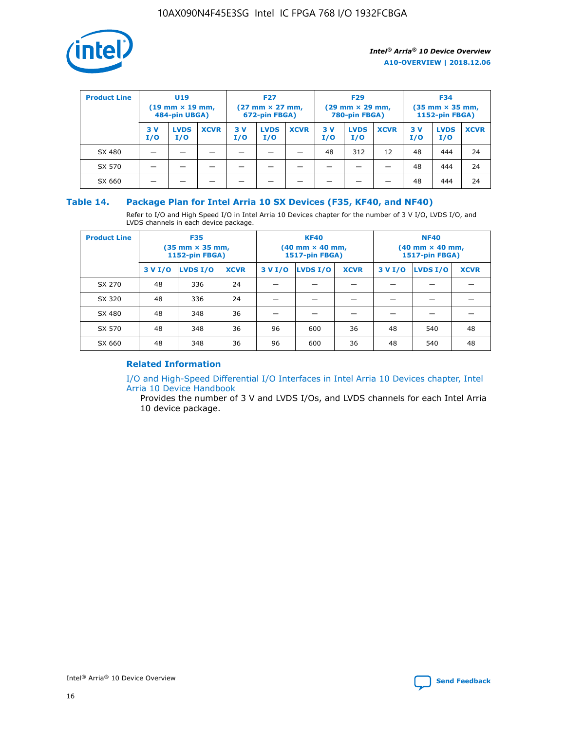

| <b>Product Line</b> | U <sub>19</sub><br>$(19 \text{ mm} \times 19 \text{ mm})$<br>484-pin UBGA) |                    | <b>F27</b><br>$(27 \text{ mm} \times 27 \text{ mm})$<br>672-pin FBGA) |           | <b>F29</b><br>$(29 \text{ mm} \times 29 \text{ mm})$<br>780-pin FBGA) |             |           | <b>F34</b><br>$(35 \text{ mm} \times 35 \text{ mm})$<br><b>1152-pin FBGA)</b> |             |           |                    |             |
|---------------------|----------------------------------------------------------------------------|--------------------|-----------------------------------------------------------------------|-----------|-----------------------------------------------------------------------|-------------|-----------|-------------------------------------------------------------------------------|-------------|-----------|--------------------|-------------|
|                     | 3 V<br>I/O                                                                 | <b>LVDS</b><br>I/O | <b>XCVR</b>                                                           | 3V<br>I/O | <b>LVDS</b><br>I/O                                                    | <b>XCVR</b> | 3V<br>I/O | <b>LVDS</b><br>I/O                                                            | <b>XCVR</b> | 3V<br>I/O | <b>LVDS</b><br>I/O | <b>XCVR</b> |
| SX 480              |                                                                            |                    |                                                                       |           |                                                                       |             | 48        | 312                                                                           | 12          | 48        | 444                | 24          |
| SX 570              |                                                                            |                    |                                                                       |           |                                                                       |             |           |                                                                               |             | 48        | 444                | 24          |
| SX 660              |                                                                            |                    |                                                                       |           |                                                                       |             |           |                                                                               |             | 48        | 444                | 24          |

## **Table 14. Package Plan for Intel Arria 10 SX Devices (F35, KF40, and NF40)**

Refer to I/O and High Speed I/O in Intel Arria 10 Devices chapter for the number of 3 V I/O, LVDS I/O, and LVDS channels in each device package.

| <b>Product Line</b> | <b>F35</b><br>$(35 \text{ mm} \times 35 \text{ mm})$<br><b>1152-pin FBGA)</b> |          |             |                                           | <b>KF40</b><br>(40 mm × 40 mm,<br>1517-pin FBGA) |    | <b>NF40</b><br>$(40 \text{ mm} \times 40 \text{ mm})$<br>1517-pin FBGA) |          |             |  |
|---------------------|-------------------------------------------------------------------------------|----------|-------------|-------------------------------------------|--------------------------------------------------|----|-------------------------------------------------------------------------|----------|-------------|--|
|                     | 3 V I/O                                                                       | LVDS I/O | <b>XCVR</b> | <b>LVDS I/O</b><br><b>XCVR</b><br>3 V I/O |                                                  |    | 3 V I/O                                                                 | LVDS I/O | <b>XCVR</b> |  |
| SX 270              | 48                                                                            | 336      | 24          |                                           |                                                  |    |                                                                         |          |             |  |
| SX 320              | 48                                                                            | 336      | 24          |                                           |                                                  |    |                                                                         |          |             |  |
| SX 480              | 48                                                                            | 348      | 36          |                                           |                                                  |    |                                                                         |          |             |  |
| SX 570              | 48                                                                            | 348      | 36          | 96                                        | 600                                              | 36 | 48                                                                      | 540      | 48          |  |
| SX 660              | 48                                                                            | 348      | 36          | 96                                        | 600                                              | 36 | 48                                                                      | 540      | 48          |  |

# **Related Information**

[I/O and High-Speed Differential I/O Interfaces in Intel Arria 10 Devices chapter, Intel](https://www.intel.com/content/www/us/en/programmable/documentation/sam1403482614086.html#sam1403482030321) [Arria 10 Device Handbook](https://www.intel.com/content/www/us/en/programmable/documentation/sam1403482614086.html#sam1403482030321)

Provides the number of 3 V and LVDS I/Os, and LVDS channels for each Intel Arria 10 device package.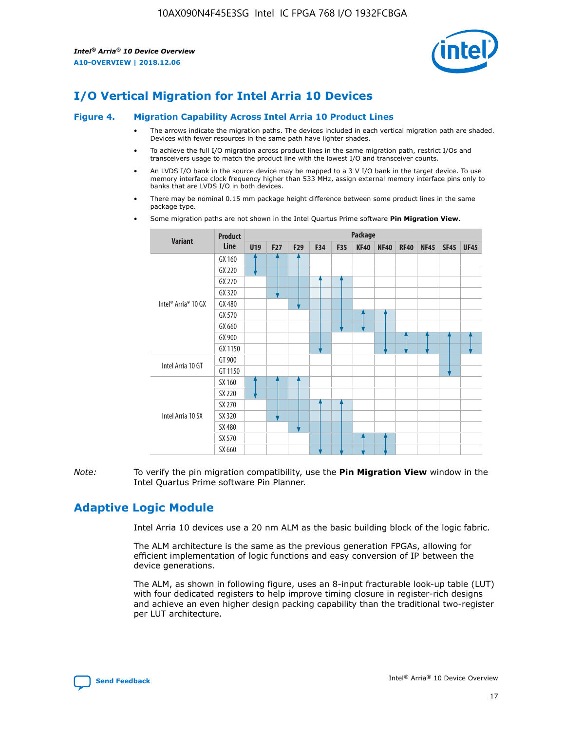

# **I/O Vertical Migration for Intel Arria 10 Devices**

#### **Figure 4. Migration Capability Across Intel Arria 10 Product Lines**

- The arrows indicate the migration paths. The devices included in each vertical migration path are shaded. Devices with fewer resources in the same path have lighter shades.
- To achieve the full I/O migration across product lines in the same migration path, restrict I/Os and transceivers usage to match the product line with the lowest I/O and transceiver counts.
- An LVDS I/O bank in the source device may be mapped to a 3 V I/O bank in the target device. To use memory interface clock frequency higher than 533 MHz, assign external memory interface pins only to banks that are LVDS I/O in both devices.
- There may be nominal 0.15 mm package height difference between some product lines in the same package type.
	- **Variant Product Line Package U19 F27 F29 F34 F35 KF40 NF40 RF40 NF45 SF45 UF45** Intel® Arria® 10 GX GX 160 GX 220 GX 270 GX 320 GX 480 GX 570 GX 660 GX 900 GX 1150 Intel Arria 10 GT GT 900 GT 1150 Intel Arria 10 SX SX 160 SX 220 SX 270 SX 320 SX 480 SX 570 SX 660
- Some migration paths are not shown in the Intel Quartus Prime software **Pin Migration View**.

*Note:* To verify the pin migration compatibility, use the **Pin Migration View** window in the Intel Quartus Prime software Pin Planner.

# **Adaptive Logic Module**

Intel Arria 10 devices use a 20 nm ALM as the basic building block of the logic fabric.

The ALM architecture is the same as the previous generation FPGAs, allowing for efficient implementation of logic functions and easy conversion of IP between the device generations.

The ALM, as shown in following figure, uses an 8-input fracturable look-up table (LUT) with four dedicated registers to help improve timing closure in register-rich designs and achieve an even higher design packing capability than the traditional two-register per LUT architecture.

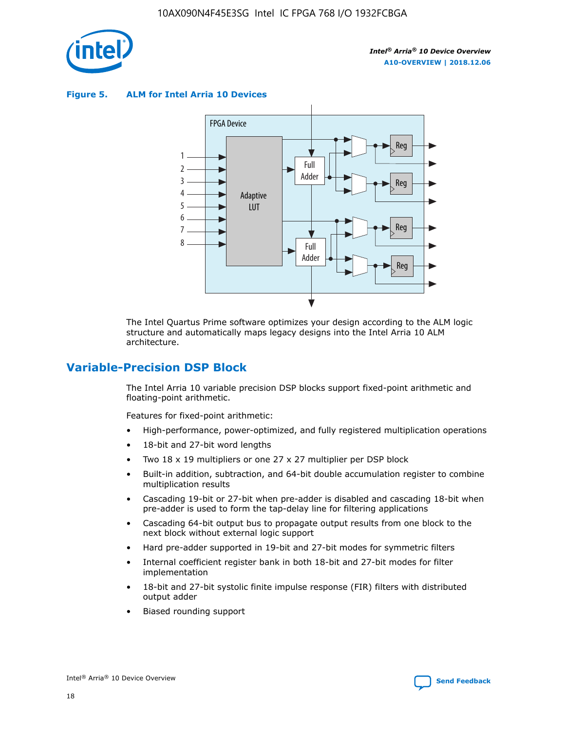

**Figure 5. ALM for Intel Arria 10 Devices**



The Intel Quartus Prime software optimizes your design according to the ALM logic structure and automatically maps legacy designs into the Intel Arria 10 ALM architecture.

# **Variable-Precision DSP Block**

The Intel Arria 10 variable precision DSP blocks support fixed-point arithmetic and floating-point arithmetic.

Features for fixed-point arithmetic:

- High-performance, power-optimized, and fully registered multiplication operations
- 18-bit and 27-bit word lengths
- Two 18 x 19 multipliers or one 27 x 27 multiplier per DSP block
- Built-in addition, subtraction, and 64-bit double accumulation register to combine multiplication results
- Cascading 19-bit or 27-bit when pre-adder is disabled and cascading 18-bit when pre-adder is used to form the tap-delay line for filtering applications
- Cascading 64-bit output bus to propagate output results from one block to the next block without external logic support
- Hard pre-adder supported in 19-bit and 27-bit modes for symmetric filters
- Internal coefficient register bank in both 18-bit and 27-bit modes for filter implementation
- 18-bit and 27-bit systolic finite impulse response (FIR) filters with distributed output adder
- Biased rounding support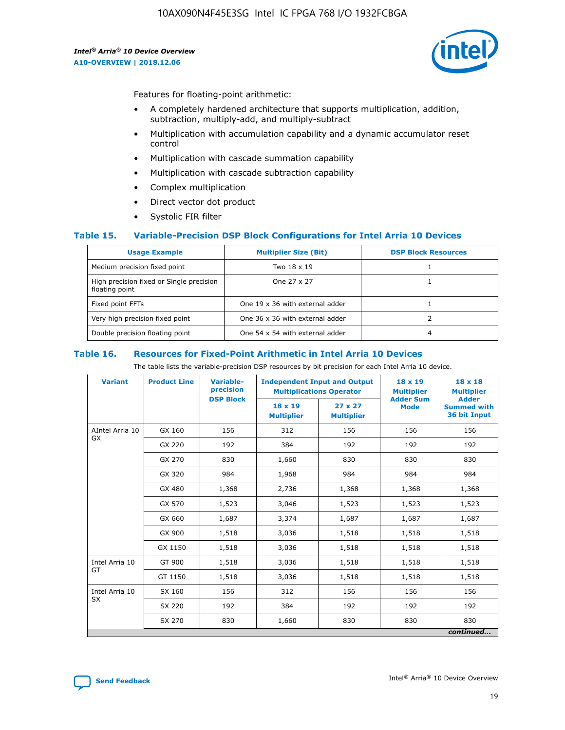

Features for floating-point arithmetic:

- A completely hardened architecture that supports multiplication, addition, subtraction, multiply-add, and multiply-subtract
- Multiplication with accumulation capability and a dynamic accumulator reset control
- Multiplication with cascade summation capability
- Multiplication with cascade subtraction capability
- Complex multiplication
- Direct vector dot product
- Systolic FIR filter

### **Table 15. Variable-Precision DSP Block Configurations for Intel Arria 10 Devices**

| <b>Usage Example</b>                                       | <b>Multiplier Size (Bit)</b>    | <b>DSP Block Resources</b> |
|------------------------------------------------------------|---------------------------------|----------------------------|
| Medium precision fixed point                               | Two 18 x 19                     |                            |
| High precision fixed or Single precision<br>floating point | One 27 x 27                     |                            |
| Fixed point FFTs                                           | One 19 x 36 with external adder |                            |
| Very high precision fixed point                            | One 36 x 36 with external adder |                            |
| Double precision floating point                            | One 54 x 54 with external adder | 4                          |

#### **Table 16. Resources for Fixed-Point Arithmetic in Intel Arria 10 Devices**

The table lists the variable-precision DSP resources by bit precision for each Intel Arria 10 device.

| <b>Variant</b>  | <b>Product Line</b> | <b>Variable-</b><br>precision<br><b>DSP Block</b> | <b>Independent Input and Output</b><br><b>Multiplications Operator</b> |                                     | 18 x 19<br><b>Multiplier</b><br><b>Adder Sum</b> | $18 \times 18$<br><b>Multiplier</b><br><b>Adder</b> |
|-----------------|---------------------|---------------------------------------------------|------------------------------------------------------------------------|-------------------------------------|--------------------------------------------------|-----------------------------------------------------|
|                 |                     |                                                   | 18 x 19<br><b>Multiplier</b>                                           | $27 \times 27$<br><b>Multiplier</b> | <b>Mode</b>                                      | <b>Summed with</b><br>36 bit Input                  |
| AIntel Arria 10 | GX 160              | 156                                               | 312                                                                    | 156                                 | 156                                              | 156                                                 |
| GX              | GX 220              | 192                                               | 384                                                                    | 192                                 | 192                                              | 192                                                 |
|                 | GX 270              | 830                                               | 1,660                                                                  | 830                                 | 830                                              | 830                                                 |
|                 | GX 320              | 984                                               | 1,968                                                                  | 984                                 | 984                                              | 984                                                 |
|                 | GX 480              | 1,368                                             | 2,736                                                                  | 1,368                               | 1,368                                            | 1,368                                               |
|                 | GX 570              | 1,523                                             | 3,046                                                                  | 1,523                               | 1,523                                            | 1,523                                               |
|                 | GX 660              | 1,687                                             | 3,374                                                                  | 1,687                               | 1,687                                            | 1,687                                               |
|                 | GX 900              | 1,518                                             | 3,036                                                                  | 1,518                               | 1,518                                            | 1,518                                               |
|                 | GX 1150             | 1,518                                             | 3,036                                                                  | 1,518                               | 1,518                                            | 1,518                                               |
| Intel Arria 10  | GT 900              | 1,518                                             | 3,036                                                                  | 1,518                               | 1,518                                            | 1,518                                               |
| GT              | GT 1150             | 1,518                                             | 3,036                                                                  | 1,518                               | 1,518                                            | 1,518                                               |
| Intel Arria 10  | SX 160              | 156                                               | 312                                                                    | 156                                 | 156                                              | 156                                                 |
| <b>SX</b>       | SX 220              | 192                                               | 384                                                                    | 192                                 | 192                                              | 192                                                 |
|                 | SX 270              | 830                                               | 1,660                                                                  | 830                                 | 830                                              | 830                                                 |
|                 |                     |                                                   |                                                                        |                                     |                                                  | continued                                           |

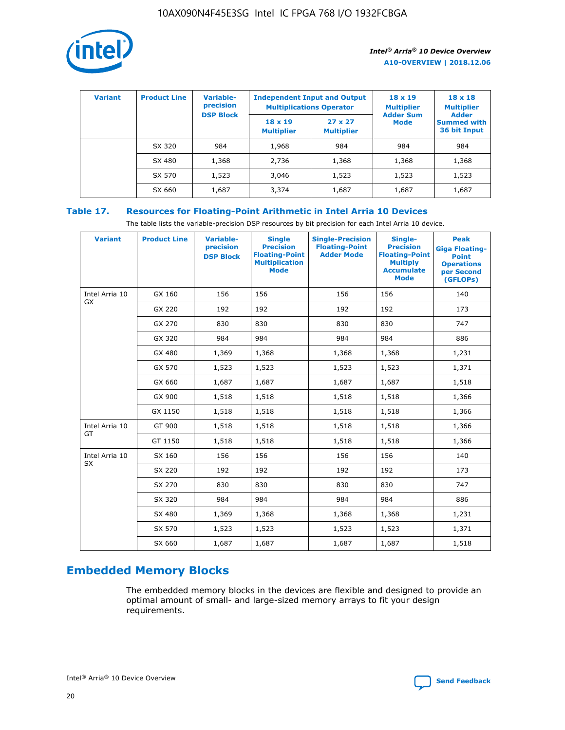

| <b>Variant</b> | <b>Product Line</b> | Variable-<br>precision | <b>Independent Input and Output</b><br><b>Multiplications Operator</b> |                                     | $18 \times 19$<br><b>Multiplier</b> | $18 \times 18$<br><b>Multiplier</b><br><b>Adder</b> |  |
|----------------|---------------------|------------------------|------------------------------------------------------------------------|-------------------------------------|-------------------------------------|-----------------------------------------------------|--|
|                |                     | <b>DSP Block</b>       | $18 \times 19$<br><b>Multiplier</b>                                    | $27 \times 27$<br><b>Multiplier</b> | <b>Adder Sum</b><br><b>Mode</b>     | <b>Summed with</b><br>36 bit Input                  |  |
|                | SX 320              | 984                    | 1,968                                                                  | 984                                 | 984                                 | 984                                                 |  |
|                | SX 480              | 1,368                  | 2,736                                                                  | 1,368                               | 1,368                               | 1,368                                               |  |
|                | SX 570              | 1,523                  | 3,046                                                                  | 1,523                               | 1,523                               | 1,523                                               |  |
|                | SX 660              | 1,687                  | 3,374                                                                  | 1,687                               | 1,687                               | 1,687                                               |  |

# **Table 17. Resources for Floating-Point Arithmetic in Intel Arria 10 Devices**

The table lists the variable-precision DSP resources by bit precision for each Intel Arria 10 device.

| <b>Variant</b> | <b>Product Line</b> | <b>Variable-</b><br>precision<br><b>DSP Block</b> | <b>Single</b><br><b>Precision</b><br><b>Floating-Point</b><br><b>Multiplication</b><br><b>Mode</b> | <b>Single-Precision</b><br><b>Floating-Point</b><br><b>Adder Mode</b> | Single-<br><b>Precision</b><br><b>Floating-Point</b><br><b>Multiply</b><br><b>Accumulate</b><br><b>Mode</b> | <b>Peak</b><br><b>Giga Floating-</b><br><b>Point</b><br><b>Operations</b><br>per Second<br>(GFLOPs) |
|----------------|---------------------|---------------------------------------------------|----------------------------------------------------------------------------------------------------|-----------------------------------------------------------------------|-------------------------------------------------------------------------------------------------------------|-----------------------------------------------------------------------------------------------------|
| Intel Arria 10 | GX 160              | 156                                               | 156                                                                                                | 156                                                                   | 156                                                                                                         | 140                                                                                                 |
| GX             | GX 220              | 192                                               | 192                                                                                                | 192                                                                   | 192                                                                                                         | 173                                                                                                 |
|                | GX 270              | 830                                               | 830                                                                                                | 830                                                                   | 830                                                                                                         | 747                                                                                                 |
|                | GX 320              | 984                                               | 984                                                                                                | 984                                                                   | 984                                                                                                         | 886                                                                                                 |
|                | GX 480              | 1,369                                             | 1,368                                                                                              | 1,368                                                                 | 1,368                                                                                                       | 1,231                                                                                               |
|                | GX 570              | 1,523                                             | 1,523                                                                                              | 1,523                                                                 | 1,523                                                                                                       | 1,371                                                                                               |
|                | GX 660              | 1,687                                             | 1,687                                                                                              | 1,687                                                                 | 1,687                                                                                                       | 1,518                                                                                               |
|                | GX 900              | 1,518                                             | 1,518                                                                                              | 1,518                                                                 | 1,518                                                                                                       | 1,366                                                                                               |
|                | GX 1150             | 1,518                                             | 1,518                                                                                              | 1,518                                                                 | 1,518                                                                                                       | 1,366                                                                                               |
| Intel Arria 10 | GT 900              | 1,518                                             | 1,518                                                                                              | 1,518                                                                 | 1,518                                                                                                       | 1,366                                                                                               |
| GT             | GT 1150             | 1,518                                             | 1,518                                                                                              | 1,518                                                                 | 1,518                                                                                                       | 1,366                                                                                               |
| Intel Arria 10 | SX 160              | 156                                               | 156                                                                                                | 156                                                                   | 156                                                                                                         | 140                                                                                                 |
| SX             | SX 220              | 192                                               | 192                                                                                                | 192                                                                   | 192                                                                                                         | 173                                                                                                 |
|                | SX 270              | 830                                               | 830                                                                                                | 830                                                                   | 830                                                                                                         | 747                                                                                                 |
|                | SX 320              | 984                                               | 984                                                                                                | 984                                                                   | 984                                                                                                         | 886                                                                                                 |
|                | SX 480              | 1,369                                             | 1,368                                                                                              | 1,368                                                                 | 1,368                                                                                                       | 1,231                                                                                               |
|                | SX 570              | 1,523                                             | 1,523                                                                                              | 1,523                                                                 | 1,523                                                                                                       | 1,371                                                                                               |
|                | SX 660              | 1,687                                             | 1,687                                                                                              | 1,687                                                                 | 1,687                                                                                                       | 1,518                                                                                               |

# **Embedded Memory Blocks**

The embedded memory blocks in the devices are flexible and designed to provide an optimal amount of small- and large-sized memory arrays to fit your design requirements.

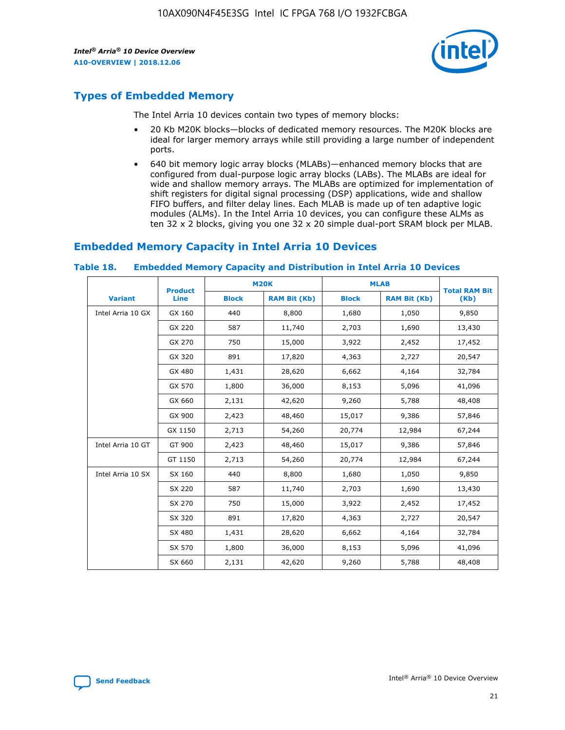

# **Types of Embedded Memory**

The Intel Arria 10 devices contain two types of memory blocks:

- 20 Kb M20K blocks—blocks of dedicated memory resources. The M20K blocks are ideal for larger memory arrays while still providing a large number of independent ports.
- 640 bit memory logic array blocks (MLABs)—enhanced memory blocks that are configured from dual-purpose logic array blocks (LABs). The MLABs are ideal for wide and shallow memory arrays. The MLABs are optimized for implementation of shift registers for digital signal processing (DSP) applications, wide and shallow FIFO buffers, and filter delay lines. Each MLAB is made up of ten adaptive logic modules (ALMs). In the Intel Arria 10 devices, you can configure these ALMs as ten 32 x 2 blocks, giving you one 32 x 20 simple dual-port SRAM block per MLAB.

# **Embedded Memory Capacity in Intel Arria 10 Devices**

|                   | <b>Product</b> |              | <b>M20K</b>         | <b>MLAB</b>  |                     | <b>Total RAM Bit</b> |
|-------------------|----------------|--------------|---------------------|--------------|---------------------|----------------------|
| <b>Variant</b>    | <b>Line</b>    | <b>Block</b> | <b>RAM Bit (Kb)</b> | <b>Block</b> | <b>RAM Bit (Kb)</b> | (Kb)                 |
| Intel Arria 10 GX | GX 160         | 440          | 8,800               | 1,680        | 1,050               | 9,850                |
|                   | GX 220         | 587          | 11,740              | 2,703        | 1,690               | 13,430               |
|                   | GX 270         | 750          | 15,000              | 3,922        | 2,452               | 17,452               |
|                   | GX 320         | 891          | 17,820              | 4,363        | 2,727               | 20,547               |
|                   | GX 480         | 1,431        | 28,620              | 6,662        | 4,164               | 32,784               |
|                   | GX 570         | 1,800        | 36,000              | 8,153        | 5,096               | 41,096               |
|                   | GX 660         | 2,131        | 42,620              | 9,260        | 5,788               | 48,408               |
|                   | GX 900         | 2,423        | 48,460              | 15,017       | 9,386               | 57,846               |
|                   | GX 1150        | 2,713        | 54,260              | 20,774       | 12,984              | 67,244               |
| Intel Arria 10 GT | GT 900         | 2,423        | 48,460              | 15,017       | 9,386               | 57,846               |
|                   | GT 1150        | 2,713        | 54,260              | 20,774       | 12,984              | 67,244               |
| Intel Arria 10 SX | SX 160         | 440          | 8,800               | 1,680        | 1,050               | 9,850                |
|                   | SX 220         | 587          | 11,740              | 2,703        | 1,690               | 13,430               |
|                   | SX 270         | 750          | 15,000              | 3,922        | 2,452               | 17,452               |
|                   | SX 320         | 891          | 17,820              | 4,363        | 2,727               | 20,547               |
|                   | SX 480         | 1,431        | 28,620              | 6,662        | 4,164               | 32,784               |
|                   | SX 570         | 1,800        | 36,000              | 8,153        | 5,096               | 41,096               |
|                   | SX 660         | 2,131        | 42,620              | 9,260        | 5,788               | 48,408               |

#### **Table 18. Embedded Memory Capacity and Distribution in Intel Arria 10 Devices**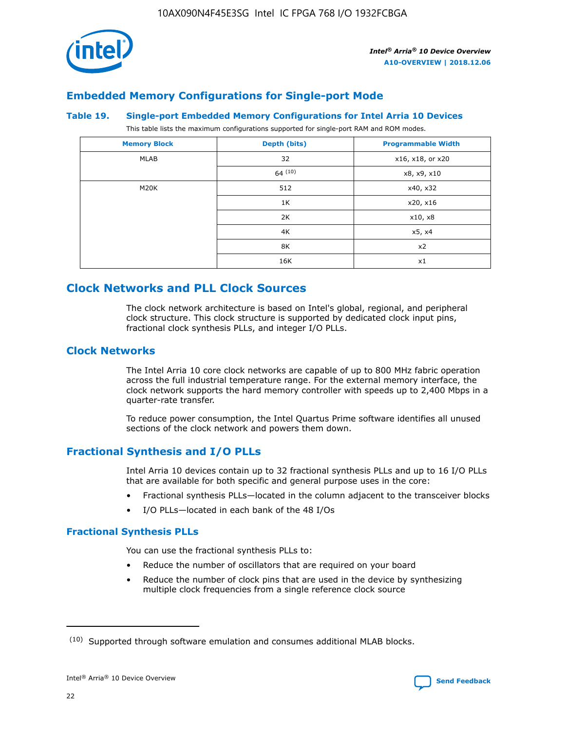

# **Embedded Memory Configurations for Single-port Mode**

#### **Table 19. Single-port Embedded Memory Configurations for Intel Arria 10 Devices**

This table lists the maximum configurations supported for single-port RAM and ROM modes.

| <b>Memory Block</b> | Depth (bits) | <b>Programmable Width</b> |
|---------------------|--------------|---------------------------|
| MLAB                | 32           | x16, x18, or x20          |
|                     | 64(10)       | x8, x9, x10               |
| M20K                | 512          | x40, x32                  |
|                     | 1K           | x20, x16                  |
|                     | 2K           | x10, x8                   |
|                     | 4K           | x5, x4                    |
|                     | 8K           | x2                        |
|                     | 16K          | x1                        |

# **Clock Networks and PLL Clock Sources**

The clock network architecture is based on Intel's global, regional, and peripheral clock structure. This clock structure is supported by dedicated clock input pins, fractional clock synthesis PLLs, and integer I/O PLLs.

# **Clock Networks**

The Intel Arria 10 core clock networks are capable of up to 800 MHz fabric operation across the full industrial temperature range. For the external memory interface, the clock network supports the hard memory controller with speeds up to 2,400 Mbps in a quarter-rate transfer.

To reduce power consumption, the Intel Quartus Prime software identifies all unused sections of the clock network and powers them down.

# **Fractional Synthesis and I/O PLLs**

Intel Arria 10 devices contain up to 32 fractional synthesis PLLs and up to 16 I/O PLLs that are available for both specific and general purpose uses in the core:

- Fractional synthesis PLLs—located in the column adjacent to the transceiver blocks
- I/O PLLs—located in each bank of the 48 I/Os

### **Fractional Synthesis PLLs**

You can use the fractional synthesis PLLs to:

- Reduce the number of oscillators that are required on your board
- Reduce the number of clock pins that are used in the device by synthesizing multiple clock frequencies from a single reference clock source

<sup>(10)</sup> Supported through software emulation and consumes additional MLAB blocks.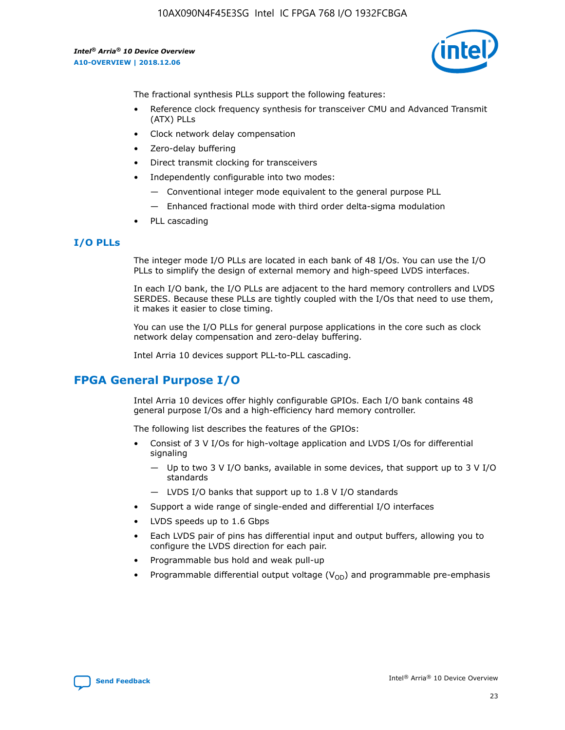

The fractional synthesis PLLs support the following features:

- Reference clock frequency synthesis for transceiver CMU and Advanced Transmit (ATX) PLLs
- Clock network delay compensation
- Zero-delay buffering
- Direct transmit clocking for transceivers
- Independently configurable into two modes:
	- Conventional integer mode equivalent to the general purpose PLL
	- Enhanced fractional mode with third order delta-sigma modulation
- PLL cascading

# **I/O PLLs**

The integer mode I/O PLLs are located in each bank of 48 I/Os. You can use the I/O PLLs to simplify the design of external memory and high-speed LVDS interfaces.

In each I/O bank, the I/O PLLs are adjacent to the hard memory controllers and LVDS SERDES. Because these PLLs are tightly coupled with the I/Os that need to use them, it makes it easier to close timing.

You can use the I/O PLLs for general purpose applications in the core such as clock network delay compensation and zero-delay buffering.

Intel Arria 10 devices support PLL-to-PLL cascading.

# **FPGA General Purpose I/O**

Intel Arria 10 devices offer highly configurable GPIOs. Each I/O bank contains 48 general purpose I/Os and a high-efficiency hard memory controller.

The following list describes the features of the GPIOs:

- Consist of 3 V I/Os for high-voltage application and LVDS I/Os for differential signaling
	- Up to two 3 V I/O banks, available in some devices, that support up to 3 V I/O standards
	- LVDS I/O banks that support up to 1.8 V I/O standards
- Support a wide range of single-ended and differential I/O interfaces
- LVDS speeds up to 1.6 Gbps
- Each LVDS pair of pins has differential input and output buffers, allowing you to configure the LVDS direction for each pair.
- Programmable bus hold and weak pull-up
- Programmable differential output voltage  $(V_{OD})$  and programmable pre-emphasis

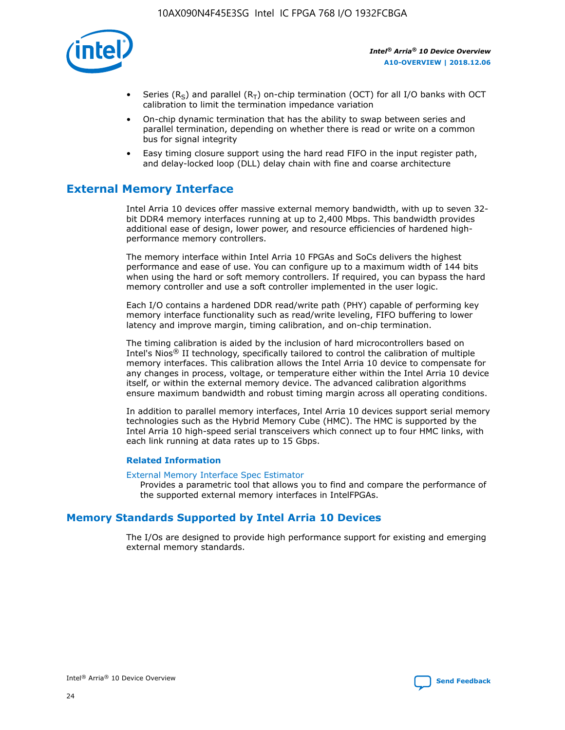

- Series (R<sub>S</sub>) and parallel (R<sub>T</sub>) on-chip termination (OCT) for all I/O banks with OCT calibration to limit the termination impedance variation
- On-chip dynamic termination that has the ability to swap between series and parallel termination, depending on whether there is read or write on a common bus for signal integrity
- Easy timing closure support using the hard read FIFO in the input register path, and delay-locked loop (DLL) delay chain with fine and coarse architecture

# **External Memory Interface**

Intel Arria 10 devices offer massive external memory bandwidth, with up to seven 32 bit DDR4 memory interfaces running at up to 2,400 Mbps. This bandwidth provides additional ease of design, lower power, and resource efficiencies of hardened highperformance memory controllers.

The memory interface within Intel Arria 10 FPGAs and SoCs delivers the highest performance and ease of use. You can configure up to a maximum width of 144 bits when using the hard or soft memory controllers. If required, you can bypass the hard memory controller and use a soft controller implemented in the user logic.

Each I/O contains a hardened DDR read/write path (PHY) capable of performing key memory interface functionality such as read/write leveling, FIFO buffering to lower latency and improve margin, timing calibration, and on-chip termination.

The timing calibration is aided by the inclusion of hard microcontrollers based on Intel's Nios® II technology, specifically tailored to control the calibration of multiple memory interfaces. This calibration allows the Intel Arria 10 device to compensate for any changes in process, voltage, or temperature either within the Intel Arria 10 device itself, or within the external memory device. The advanced calibration algorithms ensure maximum bandwidth and robust timing margin across all operating conditions.

In addition to parallel memory interfaces, Intel Arria 10 devices support serial memory technologies such as the Hybrid Memory Cube (HMC). The HMC is supported by the Intel Arria 10 high-speed serial transceivers which connect up to four HMC links, with each link running at data rates up to 15 Gbps.

### **Related Information**

### [External Memory Interface Spec Estimator](http://www.altera.com/technology/memory/estimator/mem-emif-index.html)

Provides a parametric tool that allows you to find and compare the performance of the supported external memory interfaces in IntelFPGAs.

# **Memory Standards Supported by Intel Arria 10 Devices**

The I/Os are designed to provide high performance support for existing and emerging external memory standards.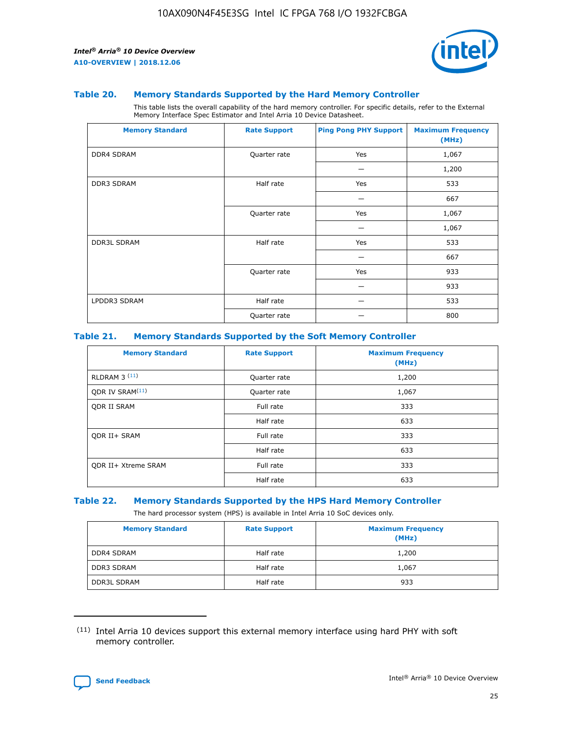

#### **Table 20. Memory Standards Supported by the Hard Memory Controller**

This table lists the overall capability of the hard memory controller. For specific details, refer to the External Memory Interface Spec Estimator and Intel Arria 10 Device Datasheet.

| <b>Memory Standard</b> | <b>Rate Support</b> | <b>Ping Pong PHY Support</b> | <b>Maximum Frequency</b><br>(MHz) |
|------------------------|---------------------|------------------------------|-----------------------------------|
| <b>DDR4 SDRAM</b>      | Quarter rate        | Yes                          | 1,067                             |
|                        |                     |                              | 1,200                             |
| DDR3 SDRAM             | Half rate           | Yes                          | 533                               |
|                        |                     |                              | 667                               |
|                        | Quarter rate        | Yes                          | 1,067                             |
|                        |                     |                              | 1,067                             |
| <b>DDR3L SDRAM</b>     | Half rate           | Yes                          | 533                               |
|                        |                     |                              | 667                               |
|                        | Quarter rate        | Yes                          | 933                               |
|                        |                     |                              | 933                               |
| LPDDR3 SDRAM           | Half rate           |                              | 533                               |
|                        | Quarter rate        |                              | 800                               |

### **Table 21. Memory Standards Supported by the Soft Memory Controller**

| <b>Memory Standard</b>      | <b>Rate Support</b> | <b>Maximum Frequency</b><br>(MHz) |
|-----------------------------|---------------------|-----------------------------------|
| <b>RLDRAM 3 (11)</b>        | Quarter rate        | 1,200                             |
| ODR IV SRAM <sup>(11)</sup> | Quarter rate        | 1,067                             |
| <b>ODR II SRAM</b>          | Full rate           | 333                               |
|                             | Half rate           | 633                               |
| <b>ODR II+ SRAM</b>         | Full rate           | 333                               |
|                             | Half rate           | 633                               |
| <b>ODR II+ Xtreme SRAM</b>  | Full rate           | 333                               |
|                             | Half rate           | 633                               |

#### **Table 22. Memory Standards Supported by the HPS Hard Memory Controller**

The hard processor system (HPS) is available in Intel Arria 10 SoC devices only.

| <b>Memory Standard</b> | <b>Rate Support</b> | <b>Maximum Frequency</b><br>(MHz) |
|------------------------|---------------------|-----------------------------------|
| <b>DDR4 SDRAM</b>      | Half rate           | 1,200                             |
| <b>DDR3 SDRAM</b>      | Half rate           | 1,067                             |
| <b>DDR3L SDRAM</b>     | Half rate           | 933                               |

<sup>(11)</sup> Intel Arria 10 devices support this external memory interface using hard PHY with soft memory controller.

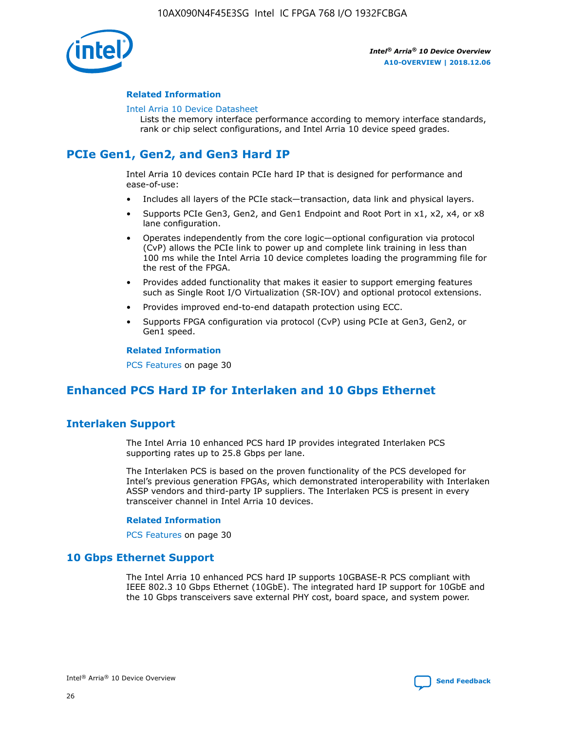

### **Related Information**

#### [Intel Arria 10 Device Datasheet](https://www.intel.com/content/www/us/en/programmable/documentation/mcn1413182292568.html#mcn1413182153340)

Lists the memory interface performance according to memory interface standards, rank or chip select configurations, and Intel Arria 10 device speed grades.

# **PCIe Gen1, Gen2, and Gen3 Hard IP**

Intel Arria 10 devices contain PCIe hard IP that is designed for performance and ease-of-use:

- Includes all layers of the PCIe stack—transaction, data link and physical layers.
- Supports PCIe Gen3, Gen2, and Gen1 Endpoint and Root Port in x1, x2, x4, or x8 lane configuration.
- Operates independently from the core logic—optional configuration via protocol (CvP) allows the PCIe link to power up and complete link training in less than 100 ms while the Intel Arria 10 device completes loading the programming file for the rest of the FPGA.
- Provides added functionality that makes it easier to support emerging features such as Single Root I/O Virtualization (SR-IOV) and optional protocol extensions.
- Provides improved end-to-end datapath protection using ECC.
- Supports FPGA configuration via protocol (CvP) using PCIe at Gen3, Gen2, or Gen1 speed.

#### **Related Information**

PCS Features on page 30

# **Enhanced PCS Hard IP for Interlaken and 10 Gbps Ethernet**

# **Interlaken Support**

The Intel Arria 10 enhanced PCS hard IP provides integrated Interlaken PCS supporting rates up to 25.8 Gbps per lane.

The Interlaken PCS is based on the proven functionality of the PCS developed for Intel's previous generation FPGAs, which demonstrated interoperability with Interlaken ASSP vendors and third-party IP suppliers. The Interlaken PCS is present in every transceiver channel in Intel Arria 10 devices.

### **Related Information**

PCS Features on page 30

# **10 Gbps Ethernet Support**

The Intel Arria 10 enhanced PCS hard IP supports 10GBASE-R PCS compliant with IEEE 802.3 10 Gbps Ethernet (10GbE). The integrated hard IP support for 10GbE and the 10 Gbps transceivers save external PHY cost, board space, and system power.

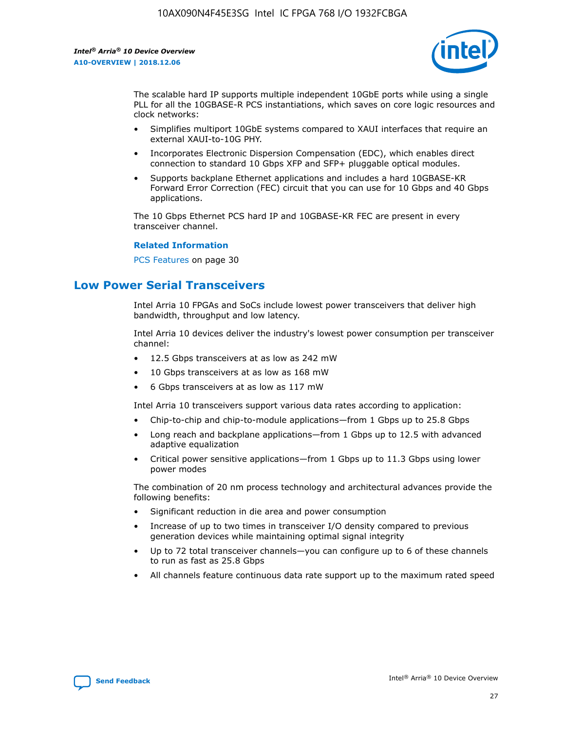

The scalable hard IP supports multiple independent 10GbE ports while using a single PLL for all the 10GBASE-R PCS instantiations, which saves on core logic resources and clock networks:

- Simplifies multiport 10GbE systems compared to XAUI interfaces that require an external XAUI-to-10G PHY.
- Incorporates Electronic Dispersion Compensation (EDC), which enables direct connection to standard 10 Gbps XFP and SFP+ pluggable optical modules.
- Supports backplane Ethernet applications and includes a hard 10GBASE-KR Forward Error Correction (FEC) circuit that you can use for 10 Gbps and 40 Gbps applications.

The 10 Gbps Ethernet PCS hard IP and 10GBASE-KR FEC are present in every transceiver channel.

#### **Related Information**

PCS Features on page 30

# **Low Power Serial Transceivers**

Intel Arria 10 FPGAs and SoCs include lowest power transceivers that deliver high bandwidth, throughput and low latency.

Intel Arria 10 devices deliver the industry's lowest power consumption per transceiver channel:

- 12.5 Gbps transceivers at as low as 242 mW
- 10 Gbps transceivers at as low as 168 mW
- 6 Gbps transceivers at as low as 117 mW

Intel Arria 10 transceivers support various data rates according to application:

- Chip-to-chip and chip-to-module applications—from 1 Gbps up to 25.8 Gbps
- Long reach and backplane applications—from 1 Gbps up to 12.5 with advanced adaptive equalization
- Critical power sensitive applications—from 1 Gbps up to 11.3 Gbps using lower power modes

The combination of 20 nm process technology and architectural advances provide the following benefits:

- Significant reduction in die area and power consumption
- Increase of up to two times in transceiver I/O density compared to previous generation devices while maintaining optimal signal integrity
- Up to 72 total transceiver channels—you can configure up to 6 of these channels to run as fast as 25.8 Gbps
- All channels feature continuous data rate support up to the maximum rated speed

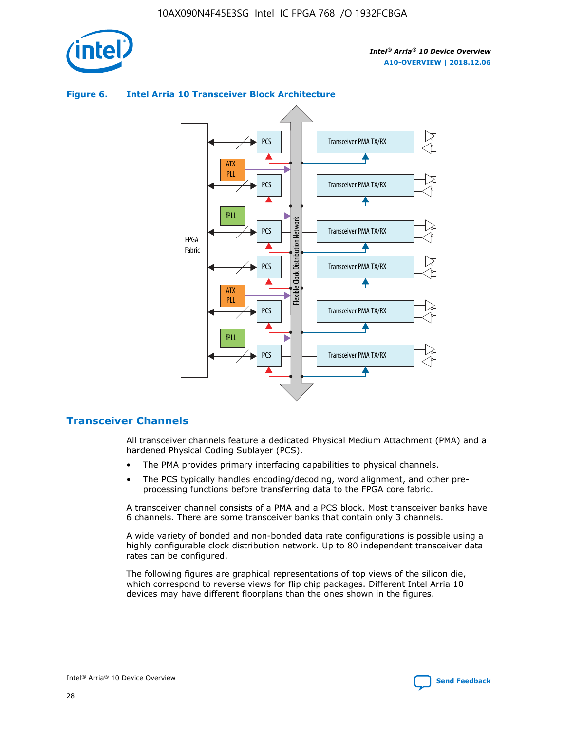

# Transceiver PMA TX/RX PCS ATX PLL Transceiver PMA TX/RX PCS fPLL Network Flexible Clock Distribution Network PCS Transceiver PMA TX/RX FPGA **Clock Distribution** Fabric PCS Transceiver PMA TX/RX ATX Flexible PLL PCS Transceiver PMA TX/RX ▲ fPLL Transceiver PMA TX/RX PCS 4

## **Figure 6. Intel Arria 10 Transceiver Block Architecture**

# **Transceiver Channels**

All transceiver channels feature a dedicated Physical Medium Attachment (PMA) and a hardened Physical Coding Sublayer (PCS).

- The PMA provides primary interfacing capabilities to physical channels.
- The PCS typically handles encoding/decoding, word alignment, and other preprocessing functions before transferring data to the FPGA core fabric.

A transceiver channel consists of a PMA and a PCS block. Most transceiver banks have 6 channels. There are some transceiver banks that contain only 3 channels.

A wide variety of bonded and non-bonded data rate configurations is possible using a highly configurable clock distribution network. Up to 80 independent transceiver data rates can be configured.

The following figures are graphical representations of top views of the silicon die, which correspond to reverse views for flip chip packages. Different Intel Arria 10 devices may have different floorplans than the ones shown in the figures.

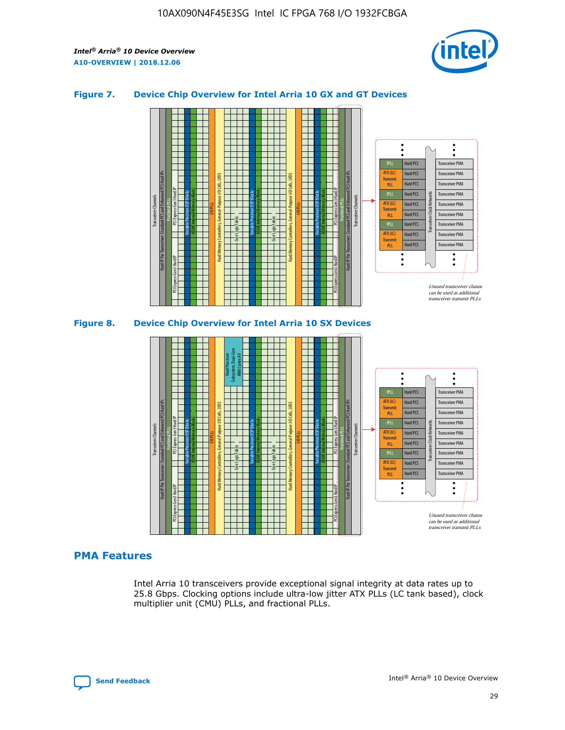

## **Figure 7. Device Chip Overview for Intel Arria 10 GX and GT Devices**



M20K Internal Memory Blocks Core Logic Fabric Transceiver Channels Hard IP Per Transceiver: Standard PCS and Enhanced PCS Hard IPs PCI Express Gen3 Hard IP Fractional PLLs M20K Internal Memory Blocks PCI Express Gen3 Hard IP Variable Precision DSP Blocks I/O PLLs Hard Memory Controllers, General-Purpose I/O Cells, LVDS Hard Processor Subsystem, Dual-Core ARM Cortex A9 M20K Internal Memory Blocks Variable Precision DSP Blocks M20K Internal Memory Blocks Core Logic Fabric I/O PLLs Hard Memory Controllers, General-Purpose I/O Cells, LVDS M20K Internal Memory Blocks Variable Precision DSP Blocks M20K Internal Memory Blocks Transceiver Channels Hard IP Per Transceiver: Standard PCS and Enhanced PCS Hard IPs PCI Express Gen3 Hard IP Fractional PLLs PCI Express Gen3 Hard IP Hard PCS Hard PCS Hard PCS Hard PCS Hard PCS Hard PCS Hard PCS Hard PCS Hard PCS Transceiver PMA Transceiver PMA Transceiver PMA Transceiver PMA Transceiver PMA Transceiver PMA Transceiver PMA Unused transceiver chann can be used as additional transceiver transmit PLLs Transceiver PMA Transceiver PMA Transceiver Clock Networks ATX (LC) **Transmit** PLL fPLL ATX (LC) Transmi PLL fPLL ATX (LC) **Transmit** PLL

# **PMA Features**

Intel Arria 10 transceivers provide exceptional signal integrity at data rates up to 25.8 Gbps. Clocking options include ultra-low jitter ATX PLLs (LC tank based), clock multiplier unit (CMU) PLLs, and fractional PLLs.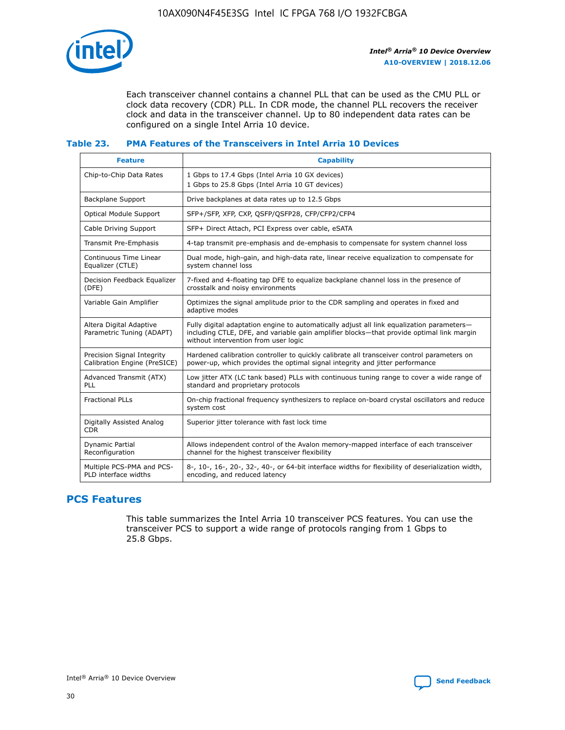

Each transceiver channel contains a channel PLL that can be used as the CMU PLL or clock data recovery (CDR) PLL. In CDR mode, the channel PLL recovers the receiver clock and data in the transceiver channel. Up to 80 independent data rates can be configured on a single Intel Arria 10 device.

## **Table 23. PMA Features of the Transceivers in Intel Arria 10 Devices**

| <b>Feature</b>                                             | <b>Capability</b>                                                                                                                                                                                                             |
|------------------------------------------------------------|-------------------------------------------------------------------------------------------------------------------------------------------------------------------------------------------------------------------------------|
| Chip-to-Chip Data Rates                                    | 1 Gbps to 17.4 Gbps (Intel Arria 10 GX devices)<br>1 Gbps to 25.8 Gbps (Intel Arria 10 GT devices)                                                                                                                            |
| <b>Backplane Support</b>                                   | Drive backplanes at data rates up to 12.5 Gbps                                                                                                                                                                                |
| <b>Optical Module Support</b>                              | SFP+/SFP, XFP, CXP, QSFP/QSFP28, CFP/CFP2/CFP4                                                                                                                                                                                |
| Cable Driving Support                                      | SFP+ Direct Attach, PCI Express over cable, eSATA                                                                                                                                                                             |
| Transmit Pre-Emphasis                                      | 4-tap transmit pre-emphasis and de-emphasis to compensate for system channel loss                                                                                                                                             |
| Continuous Time Linear<br>Equalizer (CTLE)                 | Dual mode, high-gain, and high-data rate, linear receive equalization to compensate for<br>system channel loss                                                                                                                |
| Decision Feedback Equalizer<br>(DFE)                       | 7-fixed and 4-floating tap DFE to equalize backplane channel loss in the presence of<br>crosstalk and noisy environments                                                                                                      |
| Variable Gain Amplifier                                    | Optimizes the signal amplitude prior to the CDR sampling and operates in fixed and<br>adaptive modes                                                                                                                          |
| Altera Digital Adaptive<br>Parametric Tuning (ADAPT)       | Fully digital adaptation engine to automatically adjust all link equalization parameters-<br>including CTLE, DFE, and variable gain amplifier blocks—that provide optimal link margin<br>without intervention from user logic |
| Precision Signal Integrity<br>Calibration Engine (PreSICE) | Hardened calibration controller to quickly calibrate all transceiver control parameters on<br>power-up, which provides the optimal signal integrity and jitter performance                                                    |
| Advanced Transmit (ATX)<br><b>PLL</b>                      | Low jitter ATX (LC tank based) PLLs with continuous tuning range to cover a wide range of<br>standard and proprietary protocols                                                                                               |
| <b>Fractional PLLs</b>                                     | On-chip fractional frequency synthesizers to replace on-board crystal oscillators and reduce<br>system cost                                                                                                                   |
| Digitally Assisted Analog<br><b>CDR</b>                    | Superior jitter tolerance with fast lock time                                                                                                                                                                                 |
| Dynamic Partial<br>Reconfiguration                         | Allows independent control of the Avalon memory-mapped interface of each transceiver<br>channel for the highest transceiver flexibility                                                                                       |
| Multiple PCS-PMA and PCS-<br>PLD interface widths          | 8-, 10-, 16-, 20-, 32-, 40-, or 64-bit interface widths for flexibility of deserialization width,<br>encoding, and reduced latency                                                                                            |

# **PCS Features**

This table summarizes the Intel Arria 10 transceiver PCS features. You can use the transceiver PCS to support a wide range of protocols ranging from 1 Gbps to 25.8 Gbps.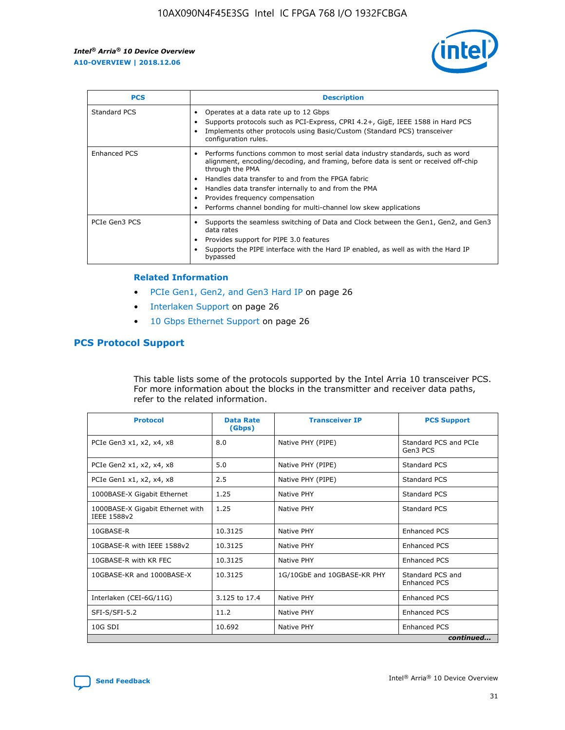

| <b>PCS</b>    | <b>Description</b>                                                                                                                                                                                                                                                                                                                                                                                             |
|---------------|----------------------------------------------------------------------------------------------------------------------------------------------------------------------------------------------------------------------------------------------------------------------------------------------------------------------------------------------------------------------------------------------------------------|
| Standard PCS  | Operates at a data rate up to 12 Gbps<br>Supports protocols such as PCI-Express, CPRI 4.2+, GigE, IEEE 1588 in Hard PCS<br>Implements other protocols using Basic/Custom (Standard PCS) transceiver<br>configuration rules.                                                                                                                                                                                    |
| Enhanced PCS  | Performs functions common to most serial data industry standards, such as word<br>alignment, encoding/decoding, and framing, before data is sent or received off-chip<br>through the PMA<br>• Handles data transfer to and from the FPGA fabric<br>Handles data transfer internally to and from the PMA<br>Provides frequency compensation<br>Performs channel bonding for multi-channel low skew applications |
| PCIe Gen3 PCS | Supports the seamless switching of Data and Clock between the Gen1, Gen2, and Gen3<br>data rates<br>Provides support for PIPE 3.0 features<br>Supports the PIPE interface with the Hard IP enabled, as well as with the Hard IP<br>bypassed                                                                                                                                                                    |

#### **Related Information**

- PCIe Gen1, Gen2, and Gen3 Hard IP on page 26
- Interlaken Support on page 26
- 10 Gbps Ethernet Support on page 26

# **PCS Protocol Support**

This table lists some of the protocols supported by the Intel Arria 10 transceiver PCS. For more information about the blocks in the transmitter and receiver data paths, refer to the related information.

| <b>Protocol</b>                                 | <b>Data Rate</b><br>(Gbps) | <b>Transceiver IP</b>       | <b>PCS Support</b>                      |
|-------------------------------------------------|----------------------------|-----------------------------|-----------------------------------------|
| PCIe Gen3 x1, x2, x4, x8                        | 8.0                        | Native PHY (PIPE)           | Standard PCS and PCIe<br>Gen3 PCS       |
| PCIe Gen2 x1, x2, x4, x8                        | 5.0                        | Native PHY (PIPE)           | <b>Standard PCS</b>                     |
| PCIe Gen1 x1, x2, x4, x8                        | 2.5                        | Native PHY (PIPE)           | Standard PCS                            |
| 1000BASE-X Gigabit Ethernet                     | 1.25                       | Native PHY                  | <b>Standard PCS</b>                     |
| 1000BASE-X Gigabit Ethernet with<br>IEEE 1588v2 | 1.25                       | Native PHY                  | Standard PCS                            |
| 10GBASE-R                                       | 10.3125                    | Native PHY                  | <b>Enhanced PCS</b>                     |
| 10GBASE-R with IEEE 1588v2                      | 10.3125                    | Native PHY                  | <b>Enhanced PCS</b>                     |
| 10GBASE-R with KR FEC                           | 10.3125                    | Native PHY                  | <b>Enhanced PCS</b>                     |
| 10GBASE-KR and 1000BASE-X                       | 10.3125                    | 1G/10GbE and 10GBASE-KR PHY | Standard PCS and<br><b>Enhanced PCS</b> |
| Interlaken (CEI-6G/11G)                         | 3.125 to 17.4              | Native PHY                  | <b>Enhanced PCS</b>                     |
| SFI-S/SFI-5.2                                   | 11.2                       | Native PHY                  | <b>Enhanced PCS</b>                     |
| $10G$ SDI                                       | 10.692                     | Native PHY                  | <b>Enhanced PCS</b>                     |
|                                                 |                            |                             | continued                               |

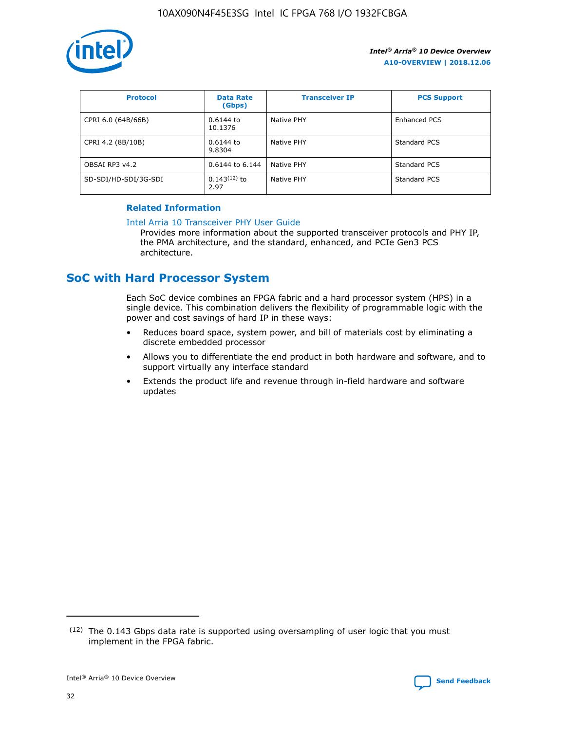

| <b>Protocol</b>      | <b>Data Rate</b><br>(Gbps) | <b>Transceiver IP</b> | <b>PCS Support</b>  |
|----------------------|----------------------------|-----------------------|---------------------|
| CPRI 6.0 (64B/66B)   | 0.6144 to<br>10.1376       | Native PHY            | <b>Enhanced PCS</b> |
| CPRI 4.2 (8B/10B)    | 0.6144 to<br>9.8304        | Native PHY            | Standard PCS        |
| OBSAI RP3 v4.2       | 0.6144 to 6.144            | Native PHY            | Standard PCS        |
| SD-SDI/HD-SDI/3G-SDI | $0.143(12)$ to<br>2.97     | Native PHY            | Standard PCS        |

## **Related Information**

#### [Intel Arria 10 Transceiver PHY User Guide](https://www.intel.com/content/www/us/en/programmable/documentation/nik1398707230472.html#nik1398707091164)

Provides more information about the supported transceiver protocols and PHY IP, the PMA architecture, and the standard, enhanced, and PCIe Gen3 PCS architecture.

# **SoC with Hard Processor System**

Each SoC device combines an FPGA fabric and a hard processor system (HPS) in a single device. This combination delivers the flexibility of programmable logic with the power and cost savings of hard IP in these ways:

- Reduces board space, system power, and bill of materials cost by eliminating a discrete embedded processor
- Allows you to differentiate the end product in both hardware and software, and to support virtually any interface standard
- Extends the product life and revenue through in-field hardware and software updates

 $(12)$  The 0.143 Gbps data rate is supported using oversampling of user logic that you must implement in the FPGA fabric.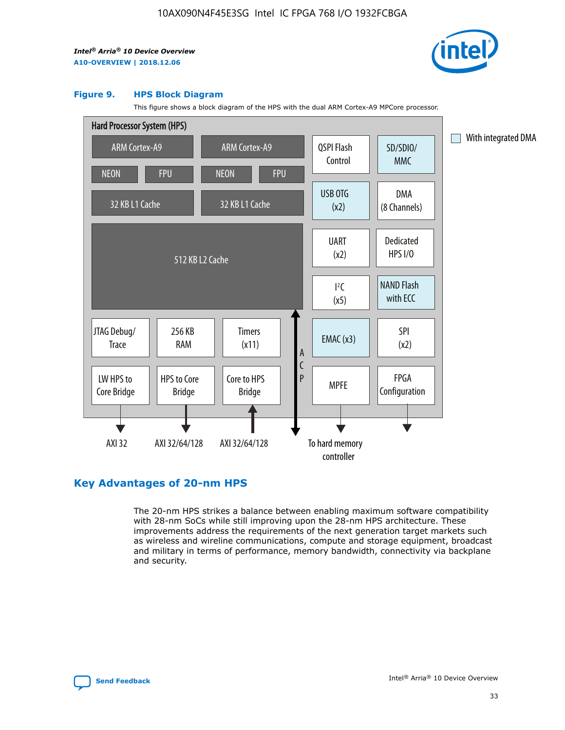

#### **Figure 9. HPS Block Diagram**

This figure shows a block diagram of the HPS with the dual ARM Cortex-A9 MPCore processor.



# **Key Advantages of 20-nm HPS**

The 20-nm HPS strikes a balance between enabling maximum software compatibility with 28-nm SoCs while still improving upon the 28-nm HPS architecture. These improvements address the requirements of the next generation target markets such as wireless and wireline communications, compute and storage equipment, broadcast and military in terms of performance, memory bandwidth, connectivity via backplane and security.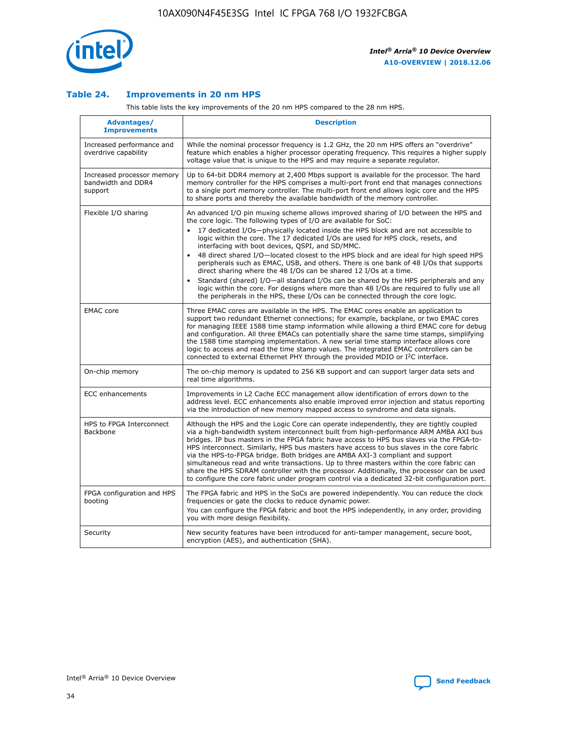

## **Table 24. Improvements in 20 nm HPS**

This table lists the key improvements of the 20 nm HPS compared to the 28 nm HPS.

| Advantages/<br><b>Improvements</b>                          | <b>Description</b>                                                                                                                                                                                                                                                                                                                                                                                                                                                                                                                                                                                                                                                                                                                                                                                                                                                                                                                                |
|-------------------------------------------------------------|---------------------------------------------------------------------------------------------------------------------------------------------------------------------------------------------------------------------------------------------------------------------------------------------------------------------------------------------------------------------------------------------------------------------------------------------------------------------------------------------------------------------------------------------------------------------------------------------------------------------------------------------------------------------------------------------------------------------------------------------------------------------------------------------------------------------------------------------------------------------------------------------------------------------------------------------------|
| Increased performance and<br>overdrive capability           | While the nominal processor frequency is 1.2 GHz, the 20 nm HPS offers an "overdrive"<br>feature which enables a higher processor operating frequency. This requires a higher supply<br>voltage value that is unique to the HPS and may require a separate regulator.                                                                                                                                                                                                                                                                                                                                                                                                                                                                                                                                                                                                                                                                             |
| Increased processor memory<br>bandwidth and DDR4<br>support | Up to 64-bit DDR4 memory at 2,400 Mbps support is available for the processor. The hard<br>memory controller for the HPS comprises a multi-port front end that manages connections<br>to a single port memory controller. The multi-port front end allows logic core and the HPS<br>to share ports and thereby the available bandwidth of the memory controller.                                                                                                                                                                                                                                                                                                                                                                                                                                                                                                                                                                                  |
| Flexible I/O sharing                                        | An advanced I/O pin muxing scheme allows improved sharing of I/O between the HPS and<br>the core logic. The following types of I/O are available for SoC:<br>17 dedicated I/Os-physically located inside the HPS block and are not accessible to<br>$\bullet$<br>logic within the core. The 17 dedicated I/Os are used for HPS clock, resets, and<br>interfacing with boot devices, QSPI, and SD/MMC.<br>48 direct shared I/O-located closest to the HPS block and are ideal for high speed HPS<br>$\bullet$<br>peripherals such as EMAC, USB, and others. There is one bank of 48 I/Os that supports<br>direct sharing where the 48 I/Os can be shared 12 I/Os at a time.<br>Standard (shared) I/O-all standard I/Os can be shared by the HPS peripherals and any<br>logic within the core. For designs where more than 48 I/Os are reguired to fully use all<br>the peripherals in the HPS, these I/Os can be connected through the core logic. |
| <b>EMAC</b> core                                            | Three EMAC cores are available in the HPS. The EMAC cores enable an application to<br>support two redundant Ethernet connections; for example, backplane, or two EMAC cores<br>for managing IEEE 1588 time stamp information while allowing a third EMAC core for debug<br>and configuration. All three EMACs can potentially share the same time stamps, simplifying<br>the 1588 time stamping implementation. A new serial time stamp interface allows core<br>logic to access and read the time stamp values. The integrated EMAC controllers can be<br>connected to external Ethernet PHY through the provided MDIO or I <sup>2</sup> C interface.                                                                                                                                                                                                                                                                                            |
| On-chip memory                                              | The on-chip memory is updated to 256 KB support and can support larger data sets and<br>real time algorithms.                                                                                                                                                                                                                                                                                                                                                                                                                                                                                                                                                                                                                                                                                                                                                                                                                                     |
| <b>ECC</b> enhancements                                     | Improvements in L2 Cache ECC management allow identification of errors down to the<br>address level. ECC enhancements also enable improved error injection and status reporting<br>via the introduction of new memory mapped access to syndrome and data signals.                                                                                                                                                                                                                                                                                                                                                                                                                                                                                                                                                                                                                                                                                 |
| HPS to FPGA Interconnect<br>Backbone                        | Although the HPS and the Logic Core can operate independently, they are tightly coupled<br>via a high-bandwidth system interconnect built from high-performance ARM AMBA AXI bus<br>bridges. IP bus masters in the FPGA fabric have access to HPS bus slaves via the FPGA-to-<br>HPS interconnect. Similarly, HPS bus masters have access to bus slaves in the core fabric<br>via the HPS-to-FPGA bridge. Both bridges are AMBA AXI-3 compliant and support<br>simultaneous read and write transactions. Up to three masters within the core fabric can<br>share the HPS SDRAM controller with the processor. Additionally, the processor can be used<br>to configure the core fabric under program control via a dedicated 32-bit configuration port.                                                                                                                                                                                            |
| FPGA configuration and HPS<br>booting                       | The FPGA fabric and HPS in the SoCs are powered independently. You can reduce the clock<br>frequencies or gate the clocks to reduce dynamic power.<br>You can configure the FPGA fabric and boot the HPS independently, in any order, providing<br>you with more design flexibility.                                                                                                                                                                                                                                                                                                                                                                                                                                                                                                                                                                                                                                                              |
| Security                                                    | New security features have been introduced for anti-tamper management, secure boot,<br>encryption (AES), and authentication (SHA).                                                                                                                                                                                                                                                                                                                                                                                                                                                                                                                                                                                                                                                                                                                                                                                                                |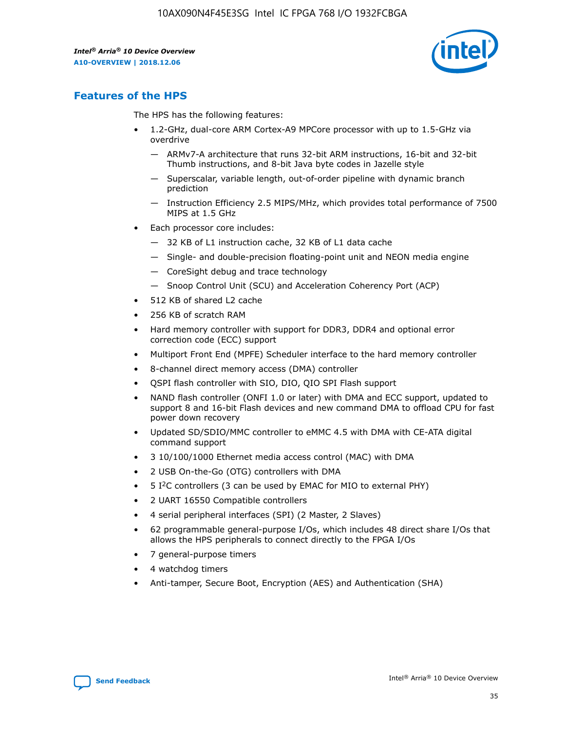

# **Features of the HPS**

The HPS has the following features:

- 1.2-GHz, dual-core ARM Cortex-A9 MPCore processor with up to 1.5-GHz via overdrive
	- ARMv7-A architecture that runs 32-bit ARM instructions, 16-bit and 32-bit Thumb instructions, and 8-bit Java byte codes in Jazelle style
	- Superscalar, variable length, out-of-order pipeline with dynamic branch prediction
	- Instruction Efficiency 2.5 MIPS/MHz, which provides total performance of 7500 MIPS at 1.5 GHz
- Each processor core includes:
	- 32 KB of L1 instruction cache, 32 KB of L1 data cache
	- Single- and double-precision floating-point unit and NEON media engine
	- CoreSight debug and trace technology
	- Snoop Control Unit (SCU) and Acceleration Coherency Port (ACP)
- 512 KB of shared L2 cache
- 256 KB of scratch RAM
- Hard memory controller with support for DDR3, DDR4 and optional error correction code (ECC) support
- Multiport Front End (MPFE) Scheduler interface to the hard memory controller
- 8-channel direct memory access (DMA) controller
- QSPI flash controller with SIO, DIO, QIO SPI Flash support
- NAND flash controller (ONFI 1.0 or later) with DMA and ECC support, updated to support 8 and 16-bit Flash devices and new command DMA to offload CPU for fast power down recovery
- Updated SD/SDIO/MMC controller to eMMC 4.5 with DMA with CE-ATA digital command support
- 3 10/100/1000 Ethernet media access control (MAC) with DMA
- 2 USB On-the-Go (OTG) controllers with DMA
- $\bullet$  5 I<sup>2</sup>C controllers (3 can be used by EMAC for MIO to external PHY)
- 2 UART 16550 Compatible controllers
- 4 serial peripheral interfaces (SPI) (2 Master, 2 Slaves)
- 62 programmable general-purpose I/Os, which includes 48 direct share I/Os that allows the HPS peripherals to connect directly to the FPGA I/Os
- 7 general-purpose timers
- 4 watchdog timers
- Anti-tamper, Secure Boot, Encryption (AES) and Authentication (SHA)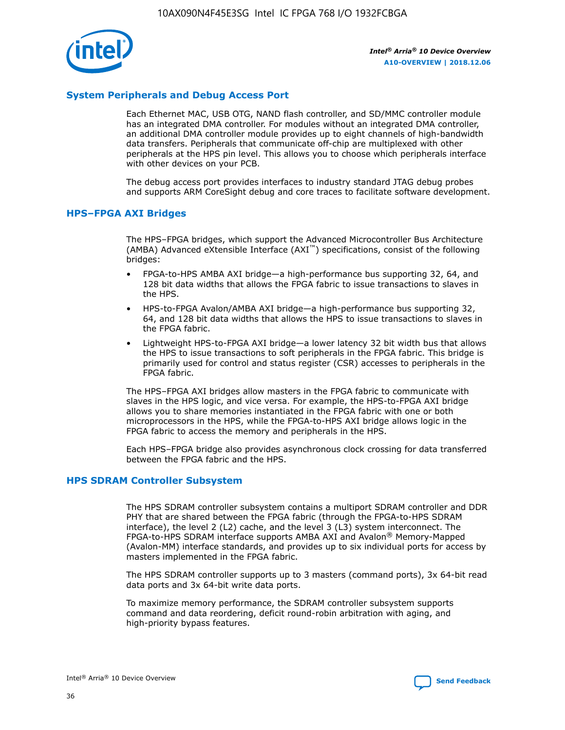

# **System Peripherals and Debug Access Port**

Each Ethernet MAC, USB OTG, NAND flash controller, and SD/MMC controller module has an integrated DMA controller. For modules without an integrated DMA controller, an additional DMA controller module provides up to eight channels of high-bandwidth data transfers. Peripherals that communicate off-chip are multiplexed with other peripherals at the HPS pin level. This allows you to choose which peripherals interface with other devices on your PCB.

The debug access port provides interfaces to industry standard JTAG debug probes and supports ARM CoreSight debug and core traces to facilitate software development.

#### **HPS–FPGA AXI Bridges**

The HPS–FPGA bridges, which support the Advanced Microcontroller Bus Architecture (AMBA) Advanced eXtensible Interface (AXI™) specifications, consist of the following bridges:

- FPGA-to-HPS AMBA AXI bridge—a high-performance bus supporting 32, 64, and 128 bit data widths that allows the FPGA fabric to issue transactions to slaves in the HPS.
- HPS-to-FPGA Avalon/AMBA AXI bridge—a high-performance bus supporting 32, 64, and 128 bit data widths that allows the HPS to issue transactions to slaves in the FPGA fabric.
- Lightweight HPS-to-FPGA AXI bridge—a lower latency 32 bit width bus that allows the HPS to issue transactions to soft peripherals in the FPGA fabric. This bridge is primarily used for control and status register (CSR) accesses to peripherals in the FPGA fabric.

The HPS–FPGA AXI bridges allow masters in the FPGA fabric to communicate with slaves in the HPS logic, and vice versa. For example, the HPS-to-FPGA AXI bridge allows you to share memories instantiated in the FPGA fabric with one or both microprocessors in the HPS, while the FPGA-to-HPS AXI bridge allows logic in the FPGA fabric to access the memory and peripherals in the HPS.

Each HPS–FPGA bridge also provides asynchronous clock crossing for data transferred between the FPGA fabric and the HPS.

#### **HPS SDRAM Controller Subsystem**

The HPS SDRAM controller subsystem contains a multiport SDRAM controller and DDR PHY that are shared between the FPGA fabric (through the FPGA-to-HPS SDRAM interface), the level 2 (L2) cache, and the level 3 (L3) system interconnect. The FPGA-to-HPS SDRAM interface supports AMBA AXI and Avalon® Memory-Mapped (Avalon-MM) interface standards, and provides up to six individual ports for access by masters implemented in the FPGA fabric.

The HPS SDRAM controller supports up to 3 masters (command ports), 3x 64-bit read data ports and 3x 64-bit write data ports.

To maximize memory performance, the SDRAM controller subsystem supports command and data reordering, deficit round-robin arbitration with aging, and high-priority bypass features.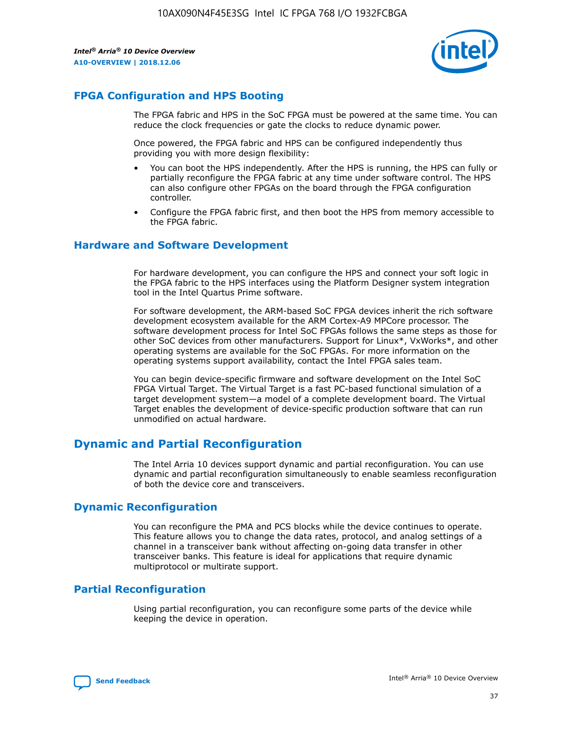

# **FPGA Configuration and HPS Booting**

The FPGA fabric and HPS in the SoC FPGA must be powered at the same time. You can reduce the clock frequencies or gate the clocks to reduce dynamic power.

Once powered, the FPGA fabric and HPS can be configured independently thus providing you with more design flexibility:

- You can boot the HPS independently. After the HPS is running, the HPS can fully or partially reconfigure the FPGA fabric at any time under software control. The HPS can also configure other FPGAs on the board through the FPGA configuration controller.
- Configure the FPGA fabric first, and then boot the HPS from memory accessible to the FPGA fabric.

## **Hardware and Software Development**

For hardware development, you can configure the HPS and connect your soft logic in the FPGA fabric to the HPS interfaces using the Platform Designer system integration tool in the Intel Quartus Prime software.

For software development, the ARM-based SoC FPGA devices inherit the rich software development ecosystem available for the ARM Cortex-A9 MPCore processor. The software development process for Intel SoC FPGAs follows the same steps as those for other SoC devices from other manufacturers. Support for Linux\*, VxWorks\*, and other operating systems are available for the SoC FPGAs. For more information on the operating systems support availability, contact the Intel FPGA sales team.

You can begin device-specific firmware and software development on the Intel SoC FPGA Virtual Target. The Virtual Target is a fast PC-based functional simulation of a target development system—a model of a complete development board. The Virtual Target enables the development of device-specific production software that can run unmodified on actual hardware.

# **Dynamic and Partial Reconfiguration**

The Intel Arria 10 devices support dynamic and partial reconfiguration. You can use dynamic and partial reconfiguration simultaneously to enable seamless reconfiguration of both the device core and transceivers.

# **Dynamic Reconfiguration**

You can reconfigure the PMA and PCS blocks while the device continues to operate. This feature allows you to change the data rates, protocol, and analog settings of a channel in a transceiver bank without affecting on-going data transfer in other transceiver banks. This feature is ideal for applications that require dynamic multiprotocol or multirate support.

# **Partial Reconfiguration**

Using partial reconfiguration, you can reconfigure some parts of the device while keeping the device in operation.

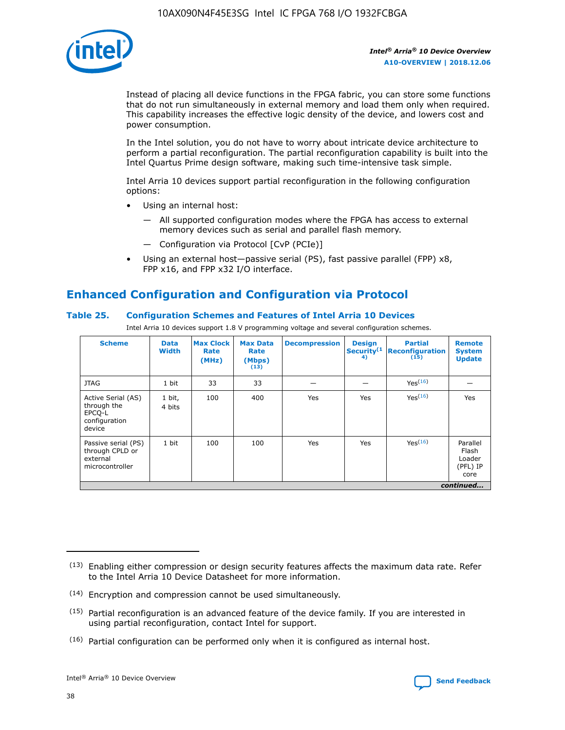

Instead of placing all device functions in the FPGA fabric, you can store some functions that do not run simultaneously in external memory and load them only when required. This capability increases the effective logic density of the device, and lowers cost and power consumption.

In the Intel solution, you do not have to worry about intricate device architecture to perform a partial reconfiguration. The partial reconfiguration capability is built into the Intel Quartus Prime design software, making such time-intensive task simple.

Intel Arria 10 devices support partial reconfiguration in the following configuration options:

- Using an internal host:
	- All supported configuration modes where the FPGA has access to external memory devices such as serial and parallel flash memory.
	- Configuration via Protocol [CvP (PCIe)]
- Using an external host—passive serial (PS), fast passive parallel (FPP) x8, FPP x16, and FPP x32 I/O interface.

# **Enhanced Configuration and Configuration via Protocol**

# **Table 25. Configuration Schemes and Features of Intel Arria 10 Devices**

Intel Arria 10 devices support 1.8 V programming voltage and several configuration schemes.

| <b>Scheme</b>                                                          | <b>Data</b><br><b>Width</b> | <b>Max Clock</b><br>Rate<br>(MHz) | <b>Max Data</b><br>Rate<br>(Mbps)<br>(13) | <b>Decompression</b> | <b>Design</b><br>Security <sup>(1</sup><br>4) | <b>Partial</b><br><b>Reconfiguration</b><br>(15) | <b>Remote</b><br><b>System</b><br><b>Update</b> |
|------------------------------------------------------------------------|-----------------------------|-----------------------------------|-------------------------------------------|----------------------|-----------------------------------------------|--------------------------------------------------|-------------------------------------------------|
| <b>JTAG</b>                                                            | 1 bit                       | 33                                | 33                                        |                      |                                               | Yes <sup>(16)</sup>                              |                                                 |
| Active Serial (AS)<br>through the<br>EPCO-L<br>configuration<br>device | 1 bit,<br>4 bits            | 100                               | 400                                       | Yes                  | Yes                                           | $Y_{PS}(16)$                                     | Yes                                             |
| Passive serial (PS)<br>through CPLD or<br>external<br>microcontroller  | 1 bit                       | 100                               | 100                                       | Yes                  | Yes                                           | Yes(16)                                          | Parallel<br>Flash<br>Loader<br>(PFL) IP<br>core |
|                                                                        |                             |                                   |                                           |                      |                                               |                                                  | continued                                       |

<sup>(13)</sup> Enabling either compression or design security features affects the maximum data rate. Refer to the Intel Arria 10 Device Datasheet for more information.

<sup>(14)</sup> Encryption and compression cannot be used simultaneously.

 $(15)$  Partial reconfiguration is an advanced feature of the device family. If you are interested in using partial reconfiguration, contact Intel for support.

 $(16)$  Partial configuration can be performed only when it is configured as internal host.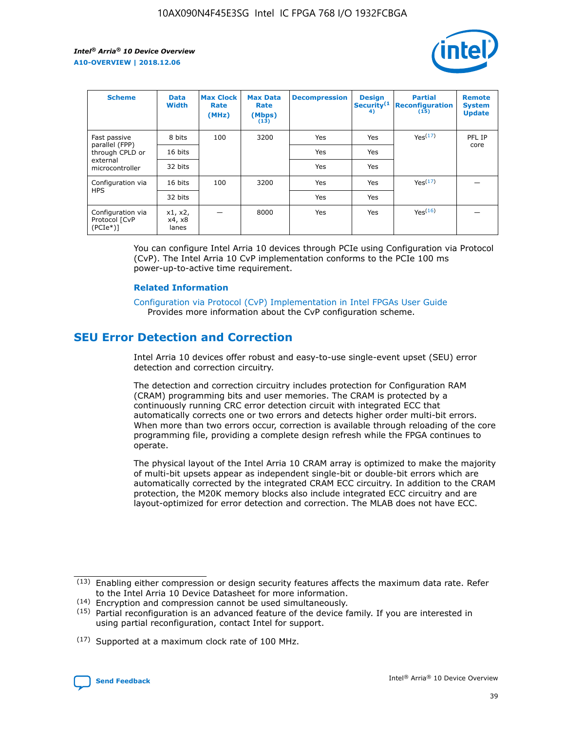

| <b>Scheme</b>                                   | <b>Data</b><br><b>Width</b> | <b>Max Clock</b><br>Rate<br>(MHz) | <b>Max Data</b><br>Rate<br>(Mbps)<br>(13) | <b>Decompression</b> | <b>Design</b><br>Security <sup>(1</sup><br>4) | <b>Partial</b><br><b>Reconfiguration</b><br>(15) | <b>Remote</b><br><b>System</b><br><b>Update</b> |
|-------------------------------------------------|-----------------------------|-----------------------------------|-------------------------------------------|----------------------|-----------------------------------------------|--------------------------------------------------|-------------------------------------------------|
| Fast passive                                    | 8 bits                      | 100                               | 3200                                      | Yes                  | Yes                                           | Yes(17)                                          | PFL IP                                          |
| parallel (FPP)<br>through CPLD or               | 16 bits                     |                                   |                                           | Yes                  | Yes                                           |                                                  | core                                            |
| external<br>microcontroller                     | 32 bits                     |                                   |                                           | Yes                  | Yes                                           |                                                  |                                                 |
| Configuration via                               | 16 bits                     | 100                               | 3200                                      | Yes                  | Yes                                           | Yes <sup>(17)</sup>                              |                                                 |
| <b>HPS</b>                                      | 32 bits                     |                                   |                                           | Yes                  | Yes                                           |                                                  |                                                 |
| Configuration via<br>Protocol [CvP<br>$(PCIe*)$ | x1, x2,<br>x4, x8<br>lanes  |                                   | 8000                                      | Yes                  | Yes                                           | Yes <sup>(16)</sup>                              |                                                 |

You can configure Intel Arria 10 devices through PCIe using Configuration via Protocol (CvP). The Intel Arria 10 CvP implementation conforms to the PCIe 100 ms power-up-to-active time requirement.

### **Related Information**

[Configuration via Protocol \(CvP\) Implementation in Intel FPGAs User Guide](https://www.intel.com/content/www/us/en/programmable/documentation/dsu1441819344145.html#dsu1442269728522) Provides more information about the CvP configuration scheme.

# **SEU Error Detection and Correction**

Intel Arria 10 devices offer robust and easy-to-use single-event upset (SEU) error detection and correction circuitry.

The detection and correction circuitry includes protection for Configuration RAM (CRAM) programming bits and user memories. The CRAM is protected by a continuously running CRC error detection circuit with integrated ECC that automatically corrects one or two errors and detects higher order multi-bit errors. When more than two errors occur, correction is available through reloading of the core programming file, providing a complete design refresh while the FPGA continues to operate.

The physical layout of the Intel Arria 10 CRAM array is optimized to make the majority of multi-bit upsets appear as independent single-bit or double-bit errors which are automatically corrected by the integrated CRAM ECC circuitry. In addition to the CRAM protection, the M20K memory blocks also include integrated ECC circuitry and are layout-optimized for error detection and correction. The MLAB does not have ECC.

(14) Encryption and compression cannot be used simultaneously.

<sup>(17)</sup> Supported at a maximum clock rate of 100 MHz.



 $(13)$  Enabling either compression or design security features affects the maximum data rate. Refer to the Intel Arria 10 Device Datasheet for more information.

 $(15)$  Partial reconfiguration is an advanced feature of the device family. If you are interested in using partial reconfiguration, contact Intel for support.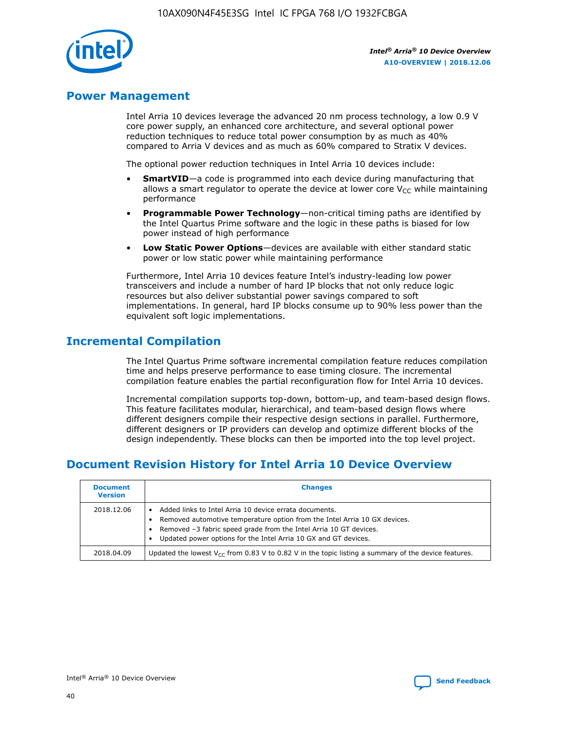

# **Power Management**

Intel Arria 10 devices leverage the advanced 20 nm process technology, a low 0.9 V core power supply, an enhanced core architecture, and several optional power reduction techniques to reduce total power consumption by as much as 40% compared to Arria V devices and as much as 60% compared to Stratix V devices.

The optional power reduction techniques in Intel Arria 10 devices include:

- **SmartVID**—a code is programmed into each device during manufacturing that allows a smart regulator to operate the device at lower core  $V_{CC}$  while maintaining performance
- **Programmable Power Technology**—non-critical timing paths are identified by the Intel Quartus Prime software and the logic in these paths is biased for low power instead of high performance
- **Low Static Power Options**—devices are available with either standard static power or low static power while maintaining performance

Furthermore, Intel Arria 10 devices feature Intel's industry-leading low power transceivers and include a number of hard IP blocks that not only reduce logic resources but also deliver substantial power savings compared to soft implementations. In general, hard IP blocks consume up to 90% less power than the equivalent soft logic implementations.

# **Incremental Compilation**

The Intel Quartus Prime software incremental compilation feature reduces compilation time and helps preserve performance to ease timing closure. The incremental compilation feature enables the partial reconfiguration flow for Intel Arria 10 devices.

Incremental compilation supports top-down, bottom-up, and team-based design flows. This feature facilitates modular, hierarchical, and team-based design flows where different designers compile their respective design sections in parallel. Furthermore, different designers or IP providers can develop and optimize different blocks of the design independently. These blocks can then be imported into the top level project.

# **Document Revision History for Intel Arria 10 Device Overview**

| <b>Document</b><br><b>Version</b> | <b>Changes</b>                                                                                                                                                                                                                                                              |
|-----------------------------------|-----------------------------------------------------------------------------------------------------------------------------------------------------------------------------------------------------------------------------------------------------------------------------|
| 2018.12.06                        | Added links to Intel Arria 10 device errata documents.<br>Removed automotive temperature option from the Intel Arria 10 GX devices.<br>Removed -3 fabric speed grade from the Intel Arria 10 GT devices.<br>Updated power options for the Intel Arria 10 GX and GT devices. |
| 2018.04.09                        | Updated the lowest $V_{CC}$ from 0.83 V to 0.82 V in the topic listing a summary of the device features.                                                                                                                                                                    |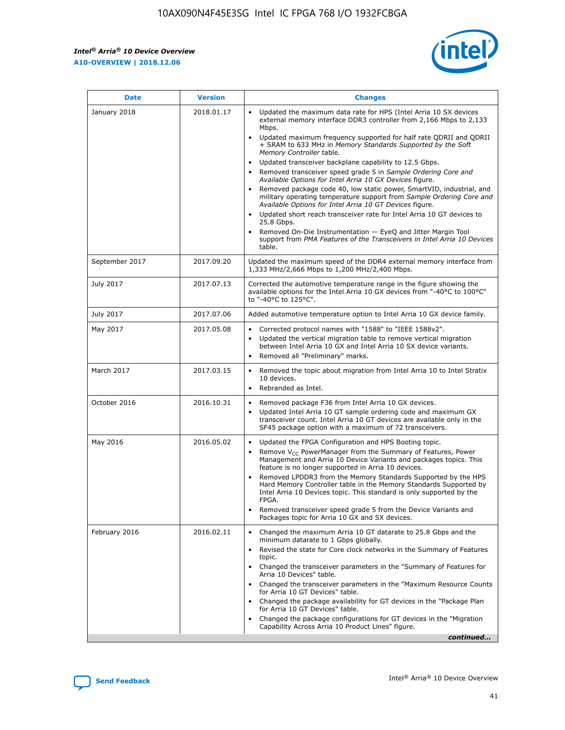*Intel® Arria® 10 Device Overview* **A10-OVERVIEW | 2018.12.06**



| <b>Date</b>    | <b>Version</b> | <b>Changes</b>                                                                                                                                                                                                                                                                                                                                                                                                                                                                                                                                                                                                                                                                                                                                                                                                                                                                                                                                                                         |
|----------------|----------------|----------------------------------------------------------------------------------------------------------------------------------------------------------------------------------------------------------------------------------------------------------------------------------------------------------------------------------------------------------------------------------------------------------------------------------------------------------------------------------------------------------------------------------------------------------------------------------------------------------------------------------------------------------------------------------------------------------------------------------------------------------------------------------------------------------------------------------------------------------------------------------------------------------------------------------------------------------------------------------------|
| January 2018   | 2018.01.17     | Updated the maximum data rate for HPS (Intel Arria 10 SX devices<br>external memory interface DDR3 controller from 2,166 Mbps to 2,133<br>Mbps.<br>Updated maximum frequency supported for half rate QDRII and QDRII<br>+ SRAM to 633 MHz in Memory Standards Supported by the Soft<br>Memory Controller table.<br>Updated transceiver backplane capability to 12.5 Gbps.<br>$\bullet$<br>Removed transceiver speed grade 5 in Sample Ordering Core and<br>$\bullet$<br>Available Options for Intel Arria 10 GX Devices figure.<br>Removed package code 40, low static power, SmartVID, industrial, and<br>military operating temperature support from Sample Ordering Core and<br>Available Options for Intel Arria 10 GT Devices figure.<br>Updated short reach transceiver rate for Intel Arria 10 GT devices to<br>25.8 Gbps.<br>Removed On-Die Instrumentation - EyeQ and Jitter Margin Tool<br>support from PMA Features of the Transceivers in Intel Arria 10 Devices<br>table. |
| September 2017 | 2017.09.20     | Updated the maximum speed of the DDR4 external memory interface from<br>1,333 MHz/2,666 Mbps to 1,200 MHz/2,400 Mbps.                                                                                                                                                                                                                                                                                                                                                                                                                                                                                                                                                                                                                                                                                                                                                                                                                                                                  |
| July 2017      | 2017.07.13     | Corrected the automotive temperature range in the figure showing the<br>available options for the Intel Arria 10 GX devices from "-40°C to 100°C"<br>to "-40°C to 125°C".                                                                                                                                                                                                                                                                                                                                                                                                                                                                                                                                                                                                                                                                                                                                                                                                              |
| July 2017      | 2017.07.06     | Added automotive temperature option to Intel Arria 10 GX device family.                                                                                                                                                                                                                                                                                                                                                                                                                                                                                                                                                                                                                                                                                                                                                                                                                                                                                                                |
| May 2017       | 2017.05.08     | Corrected protocol names with "1588" to "IEEE 1588v2".<br>$\bullet$<br>Updated the vertical migration table to remove vertical migration<br>$\bullet$<br>between Intel Arria 10 GX and Intel Arria 10 SX device variants.<br>Removed all "Preliminary" marks.<br>$\bullet$                                                                                                                                                                                                                                                                                                                                                                                                                                                                                                                                                                                                                                                                                                             |
| March 2017     | 2017.03.15     | Removed the topic about migration from Intel Arria 10 to Intel Stratix<br>$\bullet$<br>10 devices.<br>Rebranded as Intel.<br>$\bullet$                                                                                                                                                                                                                                                                                                                                                                                                                                                                                                                                                                                                                                                                                                                                                                                                                                                 |
| October 2016   | 2016.10.31     | Removed package F36 from Intel Arria 10 GX devices.<br>Updated Intel Arria 10 GT sample ordering code and maximum GX<br>$\bullet$<br>transceiver count. Intel Arria 10 GT devices are available only in the<br>SF45 package option with a maximum of 72 transceivers.                                                                                                                                                                                                                                                                                                                                                                                                                                                                                                                                                                                                                                                                                                                  |
| May 2016       | 2016.05.02     | Updated the FPGA Configuration and HPS Booting topic.<br>$\bullet$<br>Remove V <sub>CC</sub> PowerManager from the Summary of Features, Power<br>Management and Arria 10 Device Variants and packages topics. This<br>feature is no longer supported in Arria 10 devices.<br>Removed LPDDR3 from the Memory Standards Supported by the HPS<br>Hard Memory Controller table in the Memory Standards Supported by<br>Intel Arria 10 Devices topic. This standard is only supported by the<br>FPGA.<br>Removed transceiver speed grade 5 from the Device Variants and<br>Packages topic for Arria 10 GX and SX devices.                                                                                                                                                                                                                                                                                                                                                                   |
| February 2016  | 2016.02.11     | Changed the maximum Arria 10 GT datarate to 25.8 Gbps and the<br>minimum datarate to 1 Gbps globally.<br>Revised the state for Core clock networks in the Summary of Features<br>$\bullet$<br>topic.<br>Changed the transceiver parameters in the "Summary of Features for<br>$\bullet$<br>Arria 10 Devices" table.<br>• Changed the transceiver parameters in the "Maximum Resource Counts<br>for Arria 10 GT Devices" table.<br>Changed the package availability for GT devices in the "Package Plan<br>for Arria 10 GT Devices" table.<br>Changed the package configurations for GT devices in the "Migration"<br>Capability Across Arria 10 Product Lines" figure.<br>continued                                                                                                                                                                                                                                                                                                    |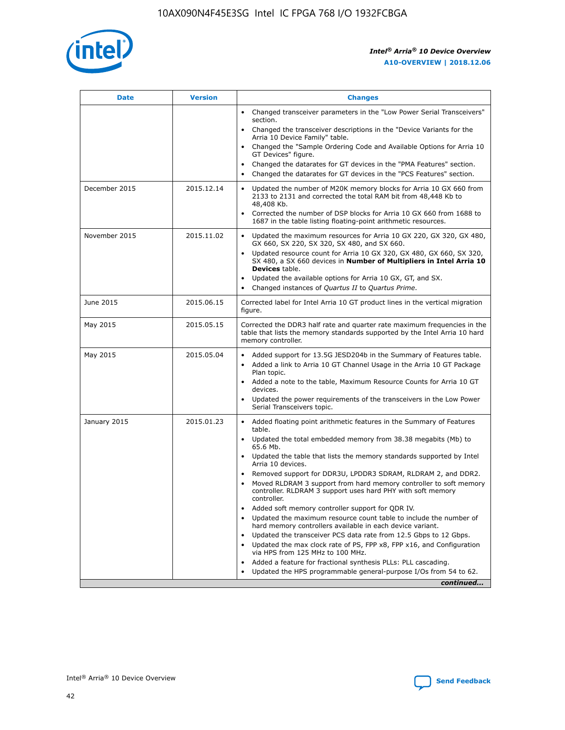

| <b>Date</b>   | <b>Version</b> | <b>Changes</b>                                                                                                                                                               |
|---------------|----------------|------------------------------------------------------------------------------------------------------------------------------------------------------------------------------|
|               |                | Changed transceiver parameters in the "Low Power Serial Transceivers"<br>$\bullet$<br>section.                                                                               |
|               |                | • Changed the transceiver descriptions in the "Device Variants for the<br>Arria 10 Device Family" table.                                                                     |
|               |                | • Changed the "Sample Ordering Code and Available Options for Arria 10<br>GT Devices" figure.                                                                                |
|               |                | Changed the datarates for GT devices in the "PMA Features" section.                                                                                                          |
|               |                | Changed the datarates for GT devices in the "PCS Features" section.<br>$\bullet$                                                                                             |
| December 2015 | 2015.12.14     | Updated the number of M20K memory blocks for Arria 10 GX 660 from<br>2133 to 2131 and corrected the total RAM bit from 48,448 Kb to<br>48,408 Kb.                            |
|               |                | Corrected the number of DSP blocks for Arria 10 GX 660 from 1688 to<br>$\bullet$<br>1687 in the table listing floating-point arithmetic resources.                           |
| November 2015 | 2015.11.02     | Updated the maximum resources for Arria 10 GX 220, GX 320, GX 480,<br>GX 660, SX 220, SX 320, SX 480, and SX 660.                                                            |
|               |                | Updated resource count for Arria 10 GX 320, GX 480, GX 660, SX 320,<br>SX 480, a SX 660 devices in Number of Multipliers in Intel Arria 10<br><b>Devices</b> table.          |
|               |                | Updated the available options for Arria 10 GX, GT, and SX.<br>$\bullet$                                                                                                      |
|               |                | Changed instances of Quartus II to Quartus Prime.<br>$\bullet$                                                                                                               |
| June 2015     | 2015.06.15     | Corrected label for Intel Arria 10 GT product lines in the vertical migration<br>figure.                                                                                     |
| May 2015      | 2015.05.15     | Corrected the DDR3 half rate and quarter rate maximum frequencies in the<br>table that lists the memory standards supported by the Intel Arria 10 hard<br>memory controller. |
| May 2015      | 2015.05.04     | • Added support for 13.5G JESD204b in the Summary of Features table.<br>Added a link to Arria 10 GT Channel Usage in the Arria 10 GT Package<br>$\bullet$<br>Plan topic.     |
|               |                | • Added a note to the table, Maximum Resource Counts for Arria 10 GT<br>devices.                                                                                             |
|               |                | • Updated the power requirements of the transceivers in the Low Power<br>Serial Transceivers topic.                                                                          |
| January 2015  | 2015.01.23     | • Added floating point arithmetic features in the Summary of Features<br>table.                                                                                              |
|               |                | • Updated the total embedded memory from 38.38 megabits (Mb) to<br>65.6 Mb.                                                                                                  |
|               |                | • Updated the table that lists the memory standards supported by Intel<br>Arria 10 devices.                                                                                  |
|               |                | Removed support for DDR3U, LPDDR3 SDRAM, RLDRAM 2, and DDR2.                                                                                                                 |
|               |                | Moved RLDRAM 3 support from hard memory controller to soft memory<br>controller. RLDRAM 3 support uses hard PHY with soft memory<br>controller.                              |
|               |                | Added soft memory controller support for QDR IV.                                                                                                                             |
|               |                | Updated the maximum resource count table to include the number of<br>hard memory controllers available in each device variant.                                               |
|               |                | Updated the transceiver PCS data rate from 12.5 Gbps to 12 Gbps.                                                                                                             |
|               |                | Updated the max clock rate of PS, FPP x8, FPP x16, and Configuration<br>via HPS from 125 MHz to 100 MHz.                                                                     |
|               |                | Added a feature for fractional synthesis PLLs: PLL cascading.                                                                                                                |
|               |                | Updated the HPS programmable general-purpose I/Os from 54 to 62.<br>$\bullet$                                                                                                |
|               |                | continued                                                                                                                                                                    |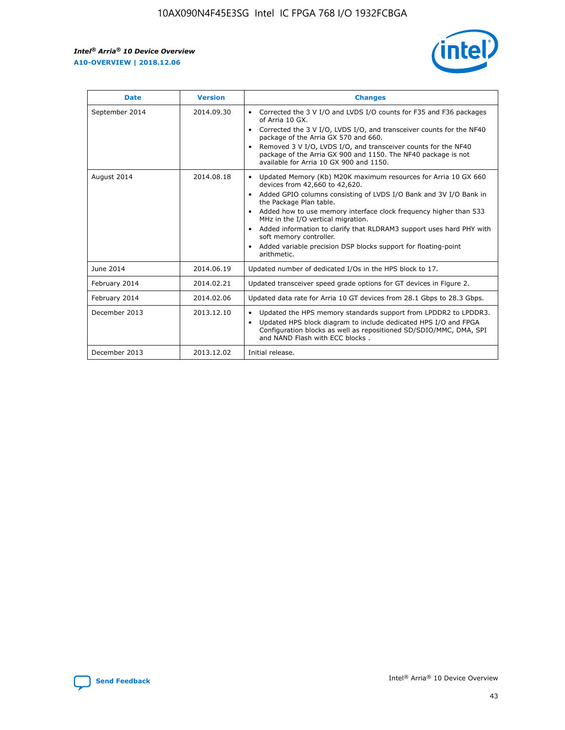r



| <b>Date</b>    | <b>Version</b> | <b>Changes</b>                                                                                                                                                                                                                                                                                                                                                                                                                                                                                                                                      |
|----------------|----------------|-----------------------------------------------------------------------------------------------------------------------------------------------------------------------------------------------------------------------------------------------------------------------------------------------------------------------------------------------------------------------------------------------------------------------------------------------------------------------------------------------------------------------------------------------------|
| September 2014 | 2014.09.30     | Corrected the 3 V I/O and LVDS I/O counts for F35 and F36 packages<br>$\bullet$<br>of Arria 10 GX.<br>Corrected the 3 V I/O, LVDS I/O, and transceiver counts for the NF40<br>$\bullet$<br>package of the Arria GX 570 and 660.<br>Removed 3 V I/O, LVDS I/O, and transceiver counts for the NF40<br>package of the Arria GX 900 and 1150. The NF40 package is not<br>available for Arria 10 GX 900 and 1150.                                                                                                                                       |
| August 2014    | 2014.08.18     | Updated Memory (Kb) M20K maximum resources for Arria 10 GX 660<br>devices from 42,660 to 42,620.<br>Added GPIO columns consisting of LVDS I/O Bank and 3V I/O Bank in<br>$\bullet$<br>the Package Plan table.<br>Added how to use memory interface clock frequency higher than 533<br>$\bullet$<br>MHz in the I/O vertical migration.<br>Added information to clarify that RLDRAM3 support uses hard PHY with<br>$\bullet$<br>soft memory controller.<br>Added variable precision DSP blocks support for floating-point<br>$\bullet$<br>arithmetic. |
| June 2014      | 2014.06.19     | Updated number of dedicated I/Os in the HPS block to 17.                                                                                                                                                                                                                                                                                                                                                                                                                                                                                            |
| February 2014  | 2014.02.21     | Updated transceiver speed grade options for GT devices in Figure 2.                                                                                                                                                                                                                                                                                                                                                                                                                                                                                 |
| February 2014  | 2014.02.06     | Updated data rate for Arria 10 GT devices from 28.1 Gbps to 28.3 Gbps.                                                                                                                                                                                                                                                                                                                                                                                                                                                                              |
| December 2013  | 2013.12.10     | Updated the HPS memory standards support from LPDDR2 to LPDDR3.<br>Updated HPS block diagram to include dedicated HPS I/O and FPGA<br>$\bullet$<br>Configuration blocks as well as repositioned SD/SDIO/MMC, DMA, SPI<br>and NAND Flash with ECC blocks.                                                                                                                                                                                                                                                                                            |
| December 2013  | 2013.12.02     | Initial release.                                                                                                                                                                                                                                                                                                                                                                                                                                                                                                                                    |